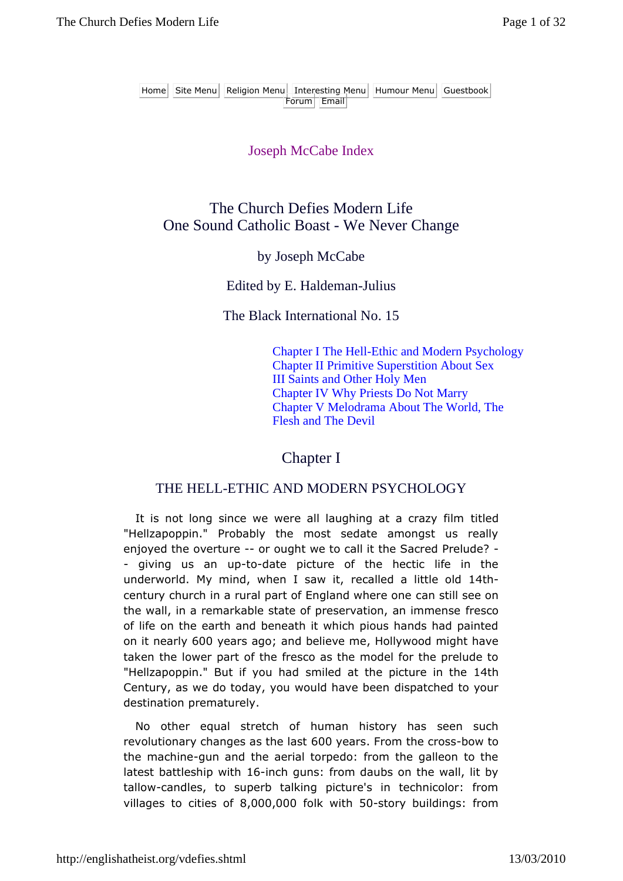#### Joseph McCabe Index

# The Church Defies Modern Life One Sound Catholic Boast - We Never Change

#### by Joseph McCabe

#### Edited by E. Haldeman-Julius

The Black International No. 15

Chapter I The Hell-Ethic and Modern Psychology Chapter II Primitive Superstition About Sex III Saints and Other Holy Men Chapter IV Why Priests Do Not Marry Chapter V Melodrama About The World, The Flesh and The Devil

## Chapter I

## THE HELL-ETHIC AND MODERN PSYCHOLOGY

It is not long since we were all laughing at a crazy film titled "Hellzapoppin." Probably the most sedate amongst us really enjoyed the overture -- or ought we to call it the Sacred Prelude? - - giving us an up-to-date picture of the hectic life in the underworld. My mind, when I saw it, recalled a little old 14thcentury church in a rural part of England where one can still see on the wall, in a remarkable state of preservation, an immense fresco of life on the earth and beneath it which pious hands had painted on it nearly 600 years ago; and believe me, Hollywood might have taken the lower part of the fresco as the model for the prelude to "Hellzapoppin." But if you had smiled at the picture in the 14th Century, as we do today, you would have been dispatched to your destination prematurely.

No other equal stretch of human history has seen such revolutionary changes as the last 600 years. From the cross-bow to the machine-gun and the aerial torpedo: from the galleon to the latest battleship with 16-inch guns: from daubs on the wall, lit by tallow-candles, to superb talking picture's in technicolor: from villages to cities of 8,000,000 folk with 50-story buildings: from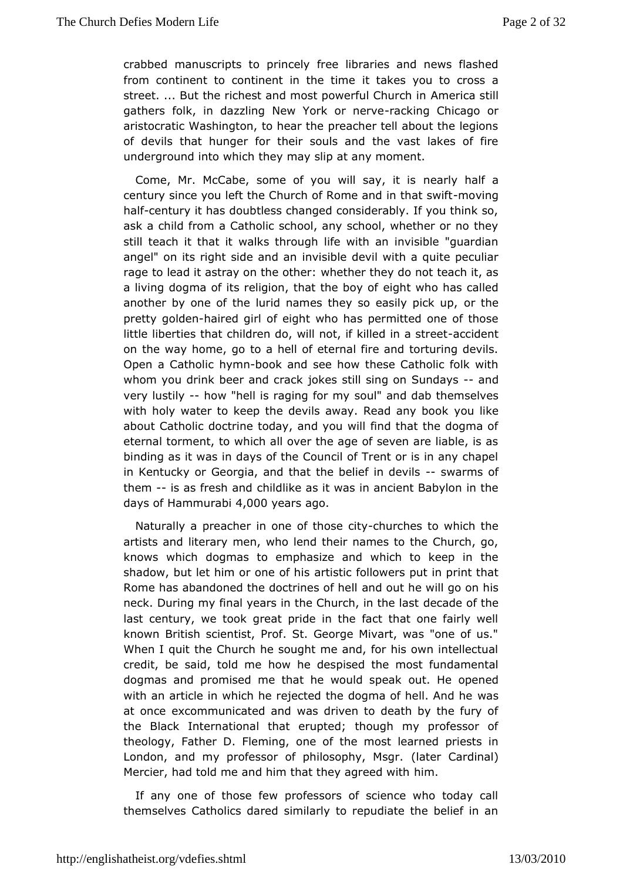crabbed manuscripots into elv free libraries and news flashed from continent to continent intthækesmeou to cross a street. ... But the richest and most pow femifieurlic Cahustch in gathers folk, in dazzling New Yorrakchoing Chicago or aristocratic Washington, to hear the preacher tell about the I of devithat hunger for their souls and the vast lakes of fi underground into the high they slip at any moment.

Come, Mr. McCabe, some of you wineas the hialfisa century since you left the Church of Rome-manding that swift half century it has doubtless changed considerably. If you thin ask a chfirdm a Catholic school, any school, whether or no th still teach it twaatkist through life with an invisible "guardian angel" on its right siden and bala devil with a quite peculiar rage to lead it astray on whee the denthey do not teach it, as a living dogma of its religion, the tyth the who boy hoafs called another by one of the lurid names they soo eatshiley pick up, pretty goldhenired girl of eight who has permitted one of thos littleiberties that children do, will not, if -laid beideimt a street on the wapme, go to a hell of eternal fire and torturing devi Open a Catholy hombook and see how these Catholic folk with whom you drink beer anjobkcersacsktill sing on Sundays very lustil how "hell is raging sfooul mand dab themselves with holy water to keep the devils away. Reeuadikany book about Catholic doctrine today, and you will find that the dog eternal torment, to which all over the age of seven are liable binding iaswas in days of the Council of Trent or is in any chap in Kentucky Georgia, and that the belief-swo adrenvsils of them--is as fresh cahribdlike as it was in ancient Babylon in the days of  $Hamm$ u4r,a0 $b$ 0 $i$ 0year $a$ go.

Naturally a preacher in one o-thososhee sity which the artists and literary men, who lend their names to the Church knows whidbgmas to emphasize and which to keep in the shadow, but let him or oaetistibisollowers put in print that Rome has abandoned the doctramed soouft he ell will go on his neck. During my final years in the Chudebade offethest last century, we took great pride in the fact that one fairly known British scientist, Prof. St. George Mivart, was "one o When I quhite Church he sought me and, for his own intellectu credit, be said, to dolwm hee despised the most fundamental dogmas and promised me that he woouutld Hsepecapkened with an article in which he rejected the dogmwaasf hell. And h at once excommunicated and was driven to death by the fur the Bladk ternational that erupted; though my professor of theology, Father D. Folemeinon, the most learned priests in London, and my professor of philos (dpaheyr, CMasrgolrinal) Mercier, had told me and him that the hyimagreed with

If any one of those few professors of science who today themselves Catholics dared similarly to repudiate the belief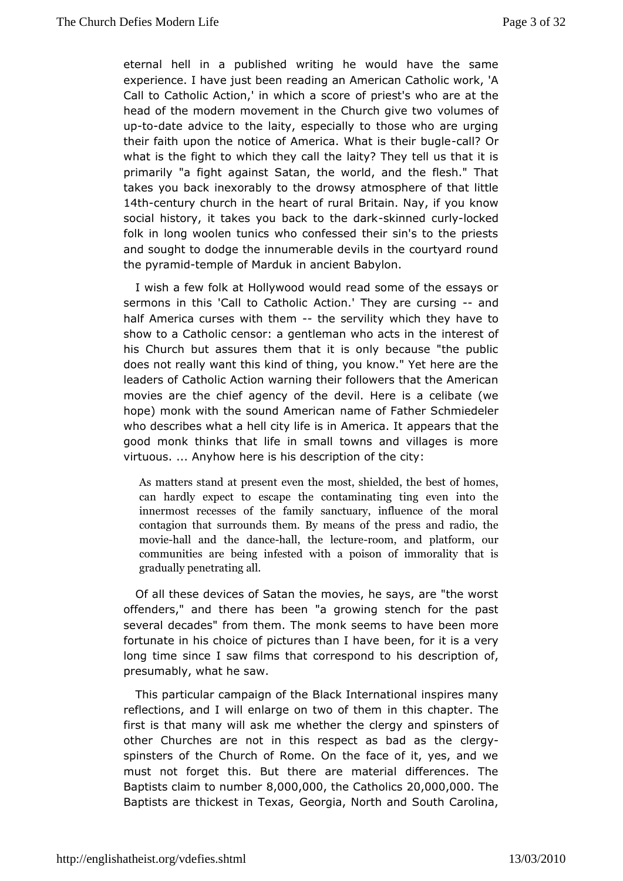eternal henla published writing he would have the same experience. I have jursetable rean an American Catholic work, 'A Call to Catholic Action,' in which rae sterwho are at the head of the modern movement in the Chworch movies of two upto-date advice to the laity, especially to those who are urg their faith upon the notice of America. What lis Chreir bugle what is thight to which they call the laity? They tell us that i primarily "a faghtnst Satan, the world, and the flesh." That takes you back inexorabby otwosy heatmosphere of that little 14th-century church in the heartrictfairnuraNay, if you know social history, it takes you backskon hhe dud byhckcked folk in long woolen tunics who confessed their sin's to the p and sought to dodge the innumerable devils in the courtyard r  $th$ epyramitemple of Marduk in ancient Babylon.

I wish a few foHkolaytwood would read some of the essays or sermons in this 'Call to A C taitohno.'i cThey are curashing half America curses with the estervil with ich they have to show to a Catholic censor: a gentleman white restsoin the his Church but assures them that it is only because "the p doesnot really want this kind of thing, you know." Yet here are leaders  $\Omega$  atholic Action warning their followers that the Americ movies are the chief agency of the devil. Here is a celibate (we hope) monk with the sound Ammeetican Father Schmiedeler who describes what a hell city life isappeAamsentincaat. the good monk thinks that life in small towns and villages is mo virtuous. ... Anyhow here is his description of the city:

Asmatters stand at present even the most, shielded, the be canhardly expect to escape the contaminating ting even innermorsetcesses of the family sanctuary, influence of th contagion stuhrabunds them. By means of the press and radio  $m$  ovihe all and dane cheall, the let obume and platform, our communities are beinwgith a few odson of immorality that is gradually penetrating all.

Ofall these devices of Satan the movies, he says, are "the v offenders," ahnedre has been "a growing stench for the past several decades" from the monk Tsheeems to have been more fortunate in his choice of picturebethan for hatves a very long time since I saw films that corresponiotion hos, presumably, what he saw.

This particular campaidBriacofk the ernational inspires many reflections, and I will enlarge on intwichiosf ot the marger. The first is that many will ask me whether shoensters yound other Churches are not in this respect ade bogyd as the spinsters of the Church of Rome. On the face of it, yes, an must nottorget this. But there are material differences. The Baptists claim to number 8,000,000 , the Catholics 20,000,000 . The Baptists are thickest i**GeToegas**, North and South Carolina,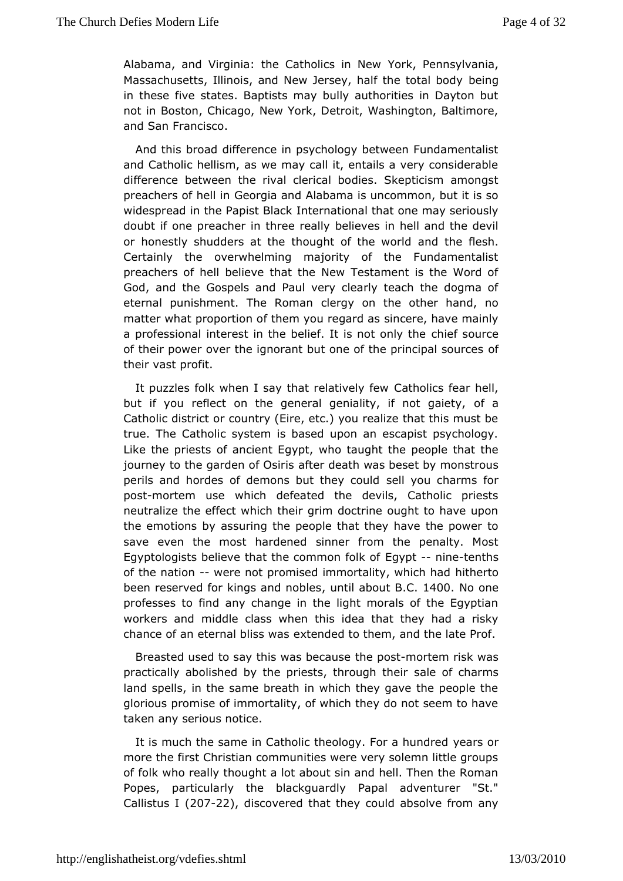[Alabama, and Virginia](http://englishatheist.org/vdefies.shtmlAlabama): the Catholicorsk, in Pelennus vivania, Massachusetts, Illinois, and New Jersey, hable in hot body in these five states. Baptists may bully authorities in Dayto not iBoston, Chicago, New York, Detroit, Washington, Baltimo and Samrancisco.

And this broad difference in psychology between Fundament and Catholic hellism, as we may call it, entails a very consic differenbetween the rival clerical bodies. Skepticism among preachers of h@elormgia and Alabama is uncommon, but it is so widespread in the Papist eB head konal that one may seriously doubt if one preacher in thbreekier weers limit hell and the devil or honestly shudders at the thought aonfd the ewfolles bach. Certainly the overwhelming majority of the Fundamental preachers of hell believe that the New Testament is the Wo God, and the spels and Paul very clearly teach the dogma of eternal punishment. The cReormy anon the other hand, no matter what proportion of them yosuinroegraer, dhasve mainly a professional interest in the belief. Itchsen ostown the the of their power over the ignorant but one of the principal sour their vast profit.

It puzzles folk when I say that relatthous feath hell, but if you reflect on the general geniality of if not gaiety, Catholic district or country (Eire, etc.) you realize that this r true. The Catholic system is based upon an escapist psycho Like the priestancient Egypt, who taught the people that the journey to the garden  $aff@s$  idesath was beset by monstrous perils and hordes of demons butsthey could blarms for pos-tmortem use which defeated the devils, Catholic priest neutralize the effect which their grim doctrine ought to have the emotiobnys assuring the people that they have the power to save even the most has dremend from the penalty. Most  $E$ gyptologists believe that the com $E$  gypont-froilrket  $e$  fiths of the natiowere not promised immortality, hwith incurrent ohad been reserved for kings anuchtribbalbeosul C.B.400No one professes to find any change in the light morals of the Egy workers amdddle class when this idea that they had a risky chance of an eternal belx senwlesi to them, and the late Prof.

Breasted used to say this wab ebpo-anticsretem risk was practically abolished by the priests, sale of  $\phi$  hcharms land spells, in the same breath in which they gave the peopl glorious promise of immortality, of which they do not seem to taken aserious notice.

It is much the same in Catholic theologyyeFacts a mundred more the first Christian communities were very solemn little g offolk who really thought a lot about sin and hell. Then the R Popes,particularly the blackguardly Papal adventurer "St." Callistu $$20722$ , discovered that they could absolve from any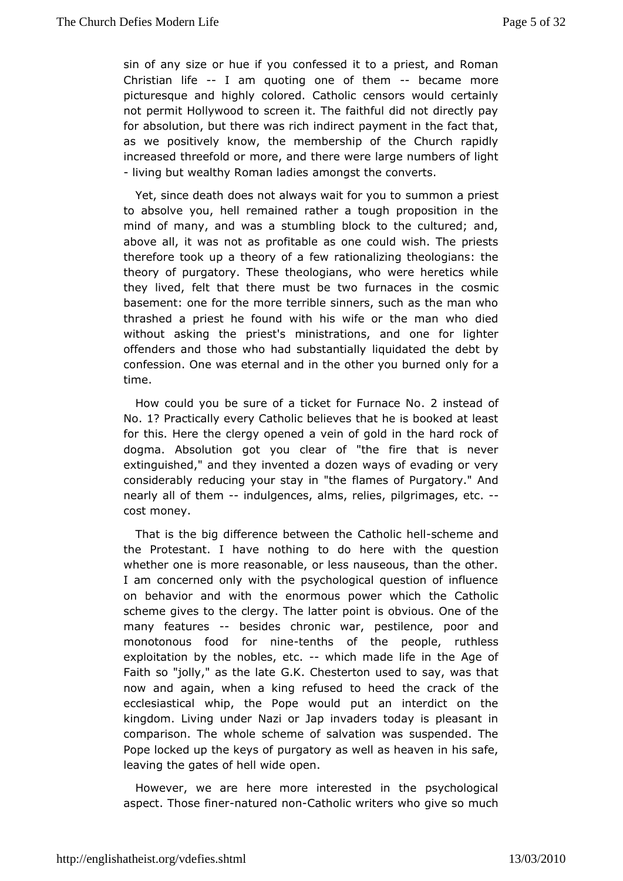[sin of any size o](http://englishatheist.org/vdefies.shtmlsin)r hue oinffey so sued it to a priest, and Roman Christian  $H - H$  am quoting one of -the encame more picturesque and highly colored. Catholic censors would cer not permit Hollywood to screen it. The faithful did not direct forabsolution, but there was rich indirect payment in the fact as wepositively know, the membership of the Church rapid increased threefonlodreo, rand there were large numbers of light  $-$  living but wealthy Roman bandgets the converts.

Yet, since death does not always waaint froorny on up to be st to absolve you, hell remained rather a tough proposition in mind of many, and was a stumbling block to the cultured; and above all, it nwo asas profitable as one could wish. The priests therefore took up a the bew patheonalizing theologians: the theory of purgatory. These theolowopinan she went ocs while they lived, felt that there must be two furomsancies in the basement: one for the more terrible sinners, such as the man thrashead priest he found with his wife or the man who die without asking the pmiiens tistations, and one for lighter offenders and those who had substantial and the debt by confession. One was eternal and in the obmey  $y$  on aburned time.

How could you be sure of a ticket foll intermande on No. No. 1? Practically every Catholic believes that he is booked at for this. Here the clergy opened a vein of gold in the hard r dogma.Absolution got you clear of "the fire that is neve extinguished," and ntheomy ted a dozen ways of evading or very considerably reducing your stbay miers "othe Purgatory." And nearly all of themodulgences, alms, pried ireissiages, -etc. cost money.

That is the big difference betawtehemid here heme and the Protestant. I have nothing to do heueswith the whether one is more reasonable, or less nauseous, than the  $\epsilon$ I amconcerned only with the psychological question of influe on behavior and twethenormous power which the Catholic scheme gives to the clergy. pTohnet lastebvious. One of the many featur<del>e</del>s besides chronic war, pe**stiden caen**, d monotonous food fortemtins of the people, ruthless exploitation they nobles,  $e$  two hich made life in the Age of Faith so "jolly," as  $Gh$ . Also desterton used to say, was that now and again, when a king refustehde torahoeked of the ecclesiastical whip, the Pope would put an interdict on kingdom. Living under Nazi or Jap invaders today is pleasa comparison.  $\overline{w}$  hele scheme of salvation was suspended. The Pope locked up the  $\frac{1}{2}$   $\frac{1}{2}$   $\frac{1}{2}$  as well as heaven in his safe, leaving the gates of hoeple muide

However, we are here more interested in the psychologi aspecthose fimentured nontholic writers who give so much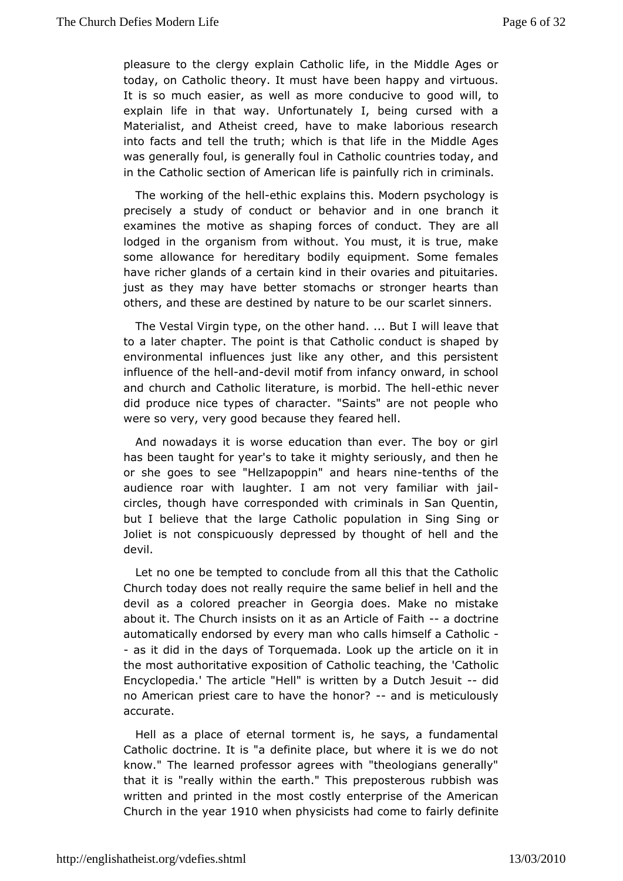pleasure to the **clerica** in Catholic life, in the Middle Ages or today, on Catholic theoryhaltembueseth happy and virtuous. It is so much easier, as well as moregorod dwiclily et do explain life in that way. Unfortunately I, being cursed wi Materialist, and Atheist creed, have to make laborious rese into facts  $a$  and the truth; which is that life in the Middle Age was generally foully foul in Catholic countries today, and in the Catholic sectmentican life is painfully rich in criminals.

The working of the heathic explains this. Modern psychology is precisely a study of combethatvior and in one branch it examines the motive as shaping forceshely careduct. lodged in the organism from without. You must, it is true, n some allowance for hereditary bodily equipment. Some fem have richer glamdscertain kind in their ovaries and pituitaries just as they may have sboent beachs or stronger hearts than others, and these are destined by omats carlet beinners.

The Vestal Virgin type, on the other whandeave But at to a later chapter. The point is that Catholic by anduct is shaped by environmental influences just like any other, and this persi influenoe the hahlddevil motif from infancy onward, in school and church *Gadholic literature*, is morbieth Tch eneweelt did produce nice typhess racofter. "Saints" are not people who were so very, very good bedaused they'l.

And nowadays it is worse education than ever. The boy or has been taught for year's to take it mighty seriously, and th or she goteos see "Hellzapoppin" and heathsnionfethe audience roar with lalugahthernot very familiar with jail circles, though have correspommiche ich aw isthin San Quentin, but I believe that the large Catholic Spiongu Baitrion orn Joliet is not conspicuously depressed by thought of hell an devil.

Let no one be tempted to conclude from all this that the Catholican Church today does not really require the same belief in hell a devil as calored preacher in Georgia does. Make no mistak about it. The Churchoministisats an Article o-faFoaoith rine automatically endorsed by ewheer y can laben himself a Catholic - as it did in the days of TorquemadaarLticodle op the in the most authoritative exposition of Catho'lCathecalciong, the Encyclopedia.' The article "Hell" is written -bydiad Dutch Jesuit no American priest care to have-thedhosnometiculously accurate.

Hell as a place of eternal torment is, he says, a fundame Catholic doctrine. It is "a definite place, but where it is we know." The arned professor agrees with "theologians generall that it is "really twiethe arth." This preposterous rubbish was written and printed in the mostecposits of the American Church in the 1y9e1a0when physicists had faoimley to be finite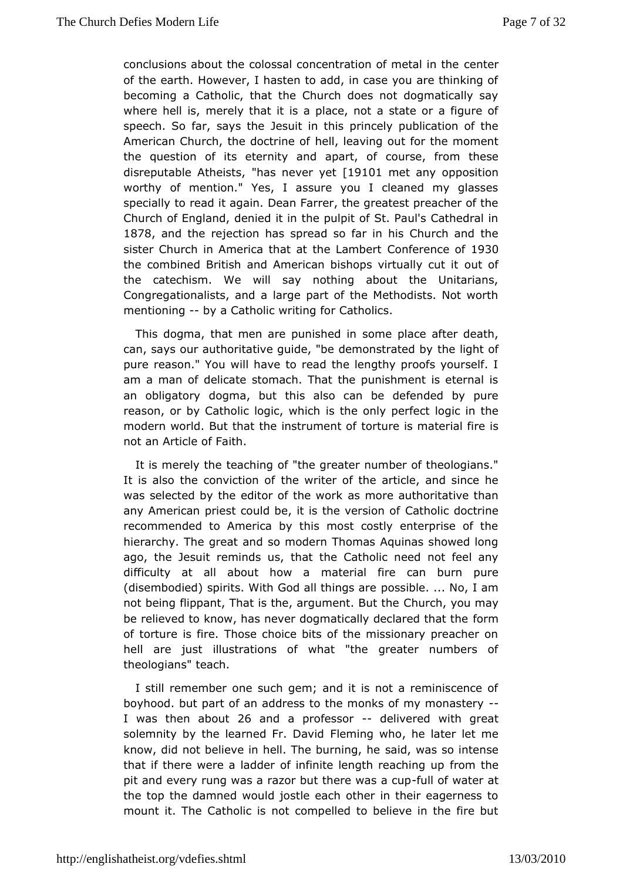[conclusions about the c](http://englishatheist.org/vdefies.shtmlconclusions)olossal concentration metall in the of the earth. However, I hasten to add, in case you are think becoming a Catholic, that the Church does not dogmatically where hellmerely that it is a place, not a state or a figure speech. So far, sayes the in this princely publication of the American Church, the dobcetine eating out for the moment the question of its eternity and coaupaet, for om these disreputable Ath<sup>rig</sup>hiasts never [degt101 met anoypposition] worthy of mention." Yes, I assure you I cleaned my glas specialloy read it again. Dean Farrer, the greatest preacher of Church of Englamed ed it in the pulpit of St. Paul's Cathedral i 1878 and the rejectios phead so far in his Church and the sister Church in America that at Choenfeaenhocent 930 the combined British and American bishopsowtiroutally cut it the catechism. We will say nothing about the Unitarial Congregationalists, and a large part of the Methodists. Not mentioning by a Catholic writing for Catholics.

This dogma, that men are pusnoishee  $\phi$  lance after death, can, says our authoritative guide, "be dehmeonisyth atcefd by pure reason." You will have to read the lengthy proofs yours am a man of delicate stomach. That the punishment is etern an obligatod roygma, but this also can be defended by pure reason, or by Catholic logiscthe hoonly perfect logic in the modern world. But that the insttorument is material fire is not an Article of Faith.

It is merely tehas hing of "the greater number of theologians." It is also the convid him nw pifter of the article, and since he was selected by the editor onthe the mediath medicular than any American priest could be, it is Chaethodiculation confine recommended to America by this most costly enterprise of hierarchy. The great and so modern Thomas Aquinas showed ago, the Jeseumitinds us, that the Catholic need not feel any difficulty at all about motourical fire can burn pure (disembodied) spirits. With God aploistshinbnlones a.r.e. No, I am not being flippant, That is the, argu@mheuntchBuytotuhenay be relieved to know, has never dogmatically fober ordared that the of torture is fire. Those choice bits of the missionary preac hellare just illustrations of what "the greater numbers theologiansdch.

I still remember one such gem; and it is not a reminiscenc boyhood. but part of an address to the monks of my monaster I was then ab2oCutand a professodrelivered with great solemnity by the learned **FirenDiangiowho**, he later let me know, did not believe in hell. Thes abiodrominances, show intense that if there were a ladder of infinite lenfgrohm rehaeching up pit and every rung was a razor but theured was atecupat thetop the damned would jostle each other in their eagernes mount it. TChaetholic is not compelled to believe in the fire b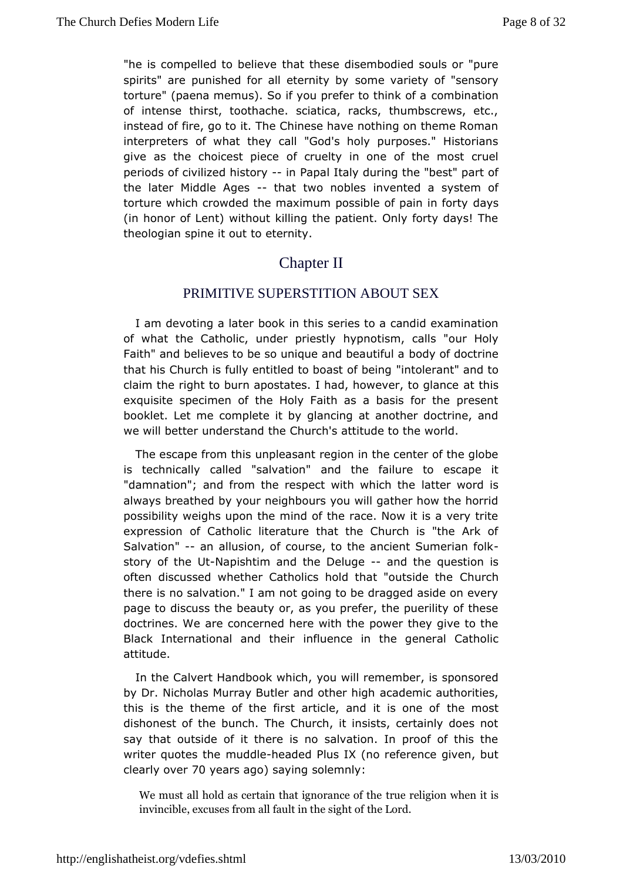["he is compelle](http://englishatheist.org/vdefies.shtml)d to thhealtietyheese disembodied souls or "pure spirits" are punished for all sedemenity arbeyty of "sensory torture" (paena memus). So if you prefecro trobit maniko nof a of intense thirst, toothache, sciatica, racks, thumbscrews, instead of fire, go to it. The Chinese have nothing on theme F interpreteorfs what they call "God's holy purposes." Historian give as the choicestofpiceruselty in one of the most cruel periods of civilized-himstPoaphthaly during the "best" part of the later Middle-Agleast two nobilrewsented a system of torture which crowded the maximum possibleda $\mathfrak{h}$  pain in forty (in honor of Lent) without killing the patient. Only forty days theologian spine it out to eternity.

# **ChapterII**

## PRIMITIVE SUPERSTITION ABOUT SEX

I am devoting a bload trin this series to a candid examination of what the Catholic, undehyponioetsitslow, calls "our Holy Faith" and believes to be so unique abood voleauttoin tuthimane that his Church is fully entitled to bionassite of anoteliangd to claim the right to burn apostates. I had, hoawtewheirs, to glance exquisite specimen of the Holy Faith as a basis for the pr bookletet me complete it by glancing at another doctrine, a we will bettrederstand the Church's attitude to the world.

The escape from anthis as ant region in the center of the globe is technically called "sahwatitone" failure to escape it "damnation"; and from the respect withattwehiow hortches always breathed by your neighbours you will gather how the h possibility weighs upon the mind of the race. Now it is a ver expression Catholic literature that the Church is "the Ark Salvation" an allusion, course, to the ancient Sumerian folk story of the N auptishtim and the De aungle the question is often discussed whether Catholics hold that u"contside the there is no salvation." I am not going to be dragged aside on pageto discuss the beauty or, as you prefer, the puerility of t doctrines.  $d$ We concerned here with the power they give to the Black International and the interesting the general Catholic attitude.

In the Calvert Handbook ow hwohl, remember, is sponsored by Dr. Nicholas Murray Butler anad cather mithing that horities, this is the theme of the first article, and deimostone of dishonest of the bunch. The Church, it insists, certainly doe saythat outside of it there is no salvation. In proof of this writer quotes mt und the eaded Plus IX (no reference given, but  $c$ learly o $\overline{v}$   $\theta$  ny ears a) gsoa y in sgo lemnly:

We must all hold as certain thattruignroenlaigicoen own htehme it is invincible, excuses from all fahuet Lionrothe sight of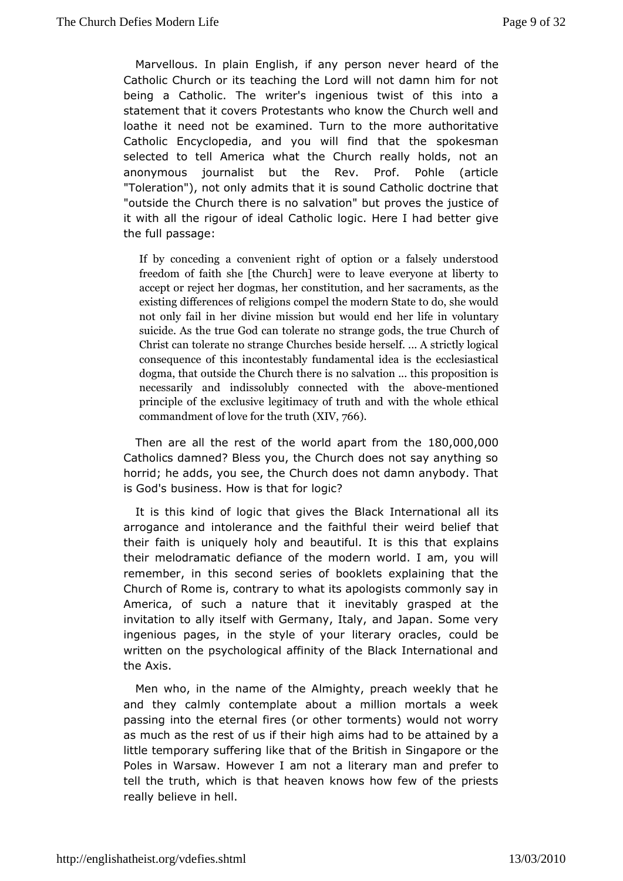[Marvellous. In plain](http://englishatheist.org/vdefies.shtmlMarvellous) English, if any person the ver heard Catholic Church or its teaching the Lord will not damn him for beinga Catholic. The writer's ingenious twist of this into statement that it  $\mathbf{F}\sigma\mathbf{v}$  destants who know the Church well and loathe it need not be examine the Tunnon et oauthoritative Catholic Encyclopedia, and you will fsind ket shandanthe selected to tell America what the Church really holds, no anonymous journalist but the Rev. Prof. Pohle (artic "Toleration"), noad domiltys that it is sound Catholic doctrine that "outside the Church thesmedviastinoon" but proves the justice of it with all the rigour of idelælg CcathHoelnie I had better give the full passage:

If by conceadion quivenient right of option or a falsely under freedom of faith Ghe undhewere to leave everyone at liberty accept or reject her dongsmitiss, tilo en, and her sacraments, as the existing differences coom movelligt in beam ordern State to do, she would not only fail in her divbiunte who iuslsdioennd her life in voluntary suicide. As the true God  $\tt{star}$ n tolegaatdes, nothe true Church of Christ can tolerate no streams ide Churshes ... A strictly logical consequence of this incomental enset marked by idea is the ecclesiastical dogma, that outside the Chous and valteurn is this proposition is necessarily and indissolubwhyith cothere can be being the d principle of the exclusive legitiwnial cythoof whole and hical commandment of love for the bitruth (XIV,

Then are all the rest of the world  $a\phi\otimes c$ h,0f $\phi\otimes\phi$ Catholics damned? Bless you, the Church does not say anythi horrid; he adds, you see, the Church does not damn anybody. is Godbsisiness. How is that for logic?

It is this kind of logic that Bolack simulational all its arrogance and intolerance and the wemithdfubletheefirthat their faith is uniquely holy and beautifulexhdlais nsthis that their melodramatic defiance of the modern world. I am, you remember, in this second series of booklets explaining tha Church of Rome contrary to what its apologists commonly say in America, of such a nhaduret inevitably grasped at the invitation to ally itself with Gerammadny a plaam.ly Some very ingenious pages, in the style of your lideuady boracles, written on the psychological affinity of the Black Internation the Axis.

Men who, in the name of the Almighty, preach weekly that andthey calmly contemplate about a million mortals a wee passing into the etie e allor other torments) would not worry as much as the rest of uhsigin tahienis had to be attained by a little temporary suffering like Britian to that in gapore or the Poles in Warsaw. However I am not a literaferman and tell the truth, which is that heaven knows how few of the pr really believe in hell.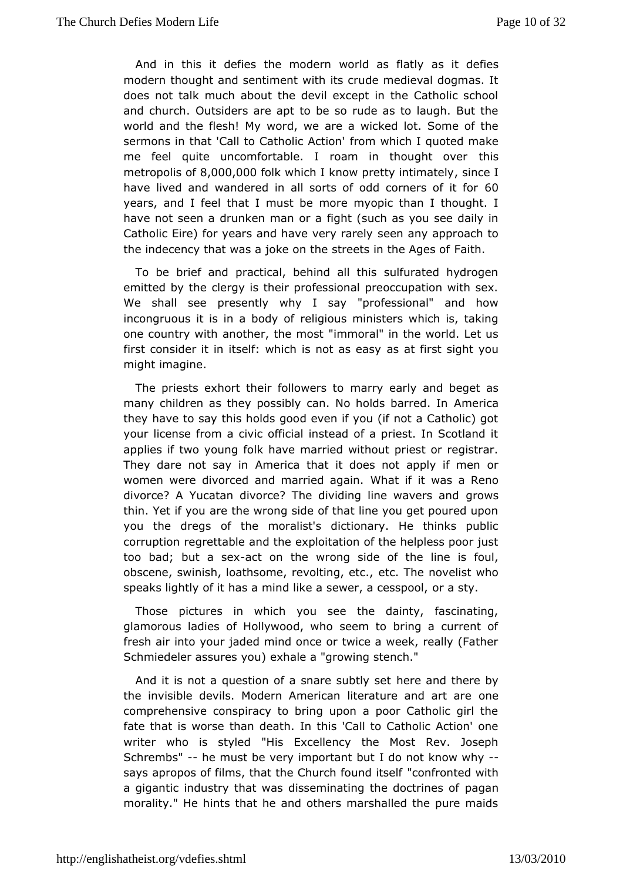[And in this it d](http://englishatheist.org/vdefies.shtmlAnd)efies the modern woarst it as defiests v modern thought and sentiment with its crude medieval dogma does not talk much about the devil except in the Catholic s and churchutsiders are apt to be so rude as to laugh. But the world and the fleswhor My we are a wicked lot. Some of the sermons in that 'Call to Cathforbion Awchtiioshn'l quoted make me feel quite uncomfortable. I roam in thosught over metropolis 8.0000,00 folk which I know pretty intimately havelived and wandered in all sorts of odd cooners of it for years, and I the at I must be more myopic than I thought. I have not seen a drunken manto rsach as you see daily in Catholic Eire) for years and have eveen yar any proach to the indecency that was a joke on the stree Faith the Ages of

To be brief and practical, behind all this sulfurated hydr emitted by the clergy is their professional preoccupation wit We shall speeesently why I say "professional" and how incongruous it is in a rhe bioty jousts ministers which is, taking one country with another, "tilmem mo pasit" in the world. Let us first consider it in itself: which issnat faisse assign ht you might imagine.

The priests exhort their fom a wray r seat oly and beget as many children as they possibly can. No hold modes ribearred. In they have to say this holds good even if you (if not a Catholi your license from a civic official instead of a priest. In Scot appliest two young folk have married without priest or registr They dare not saymenica that it does not apply if men or women were divorced and marrWebdataghint. was a Reno divorce? A Yucatan divorce? The dividing dirroew swavers and thin. Yet if you are the wrong side of that line you get poured you the dregs of the moralist's dictionary. He thinks pub corruption regreatrach Itehe exploitation of the helpless poor just too bad; but a asexon the rong side of the line is foul, obscene, swinish, loathsome, revedictinTgheenov, elist who speaks lightly of it has a mind like a seawea, satycesspool,

Those pictures in which you see the dainty, fascinati glamorous ladies of Hollywood, who seem to bring a current fresh air iyndor jaded mind once or twice a week, really (Father Schmiedeler assures would a "growing stench."

And it is not a question of a snahersubshid tsheetre by the invisible devils. Modern American literature and art are comprehensive conspiracy to bring upon a poor Catholic gir fate that wiss rest than death. In this 'Call to Catholic Action' o writer who is st'\Hesd Excellency the Most Rev. Joseph Schrembs-"he must be very importlad b buott know -why says apropos of films, that the Churchonofummutets ewith a gigantic industry that was disseminating pagadoctrines of morality." He hints that he and others marshalled the pure m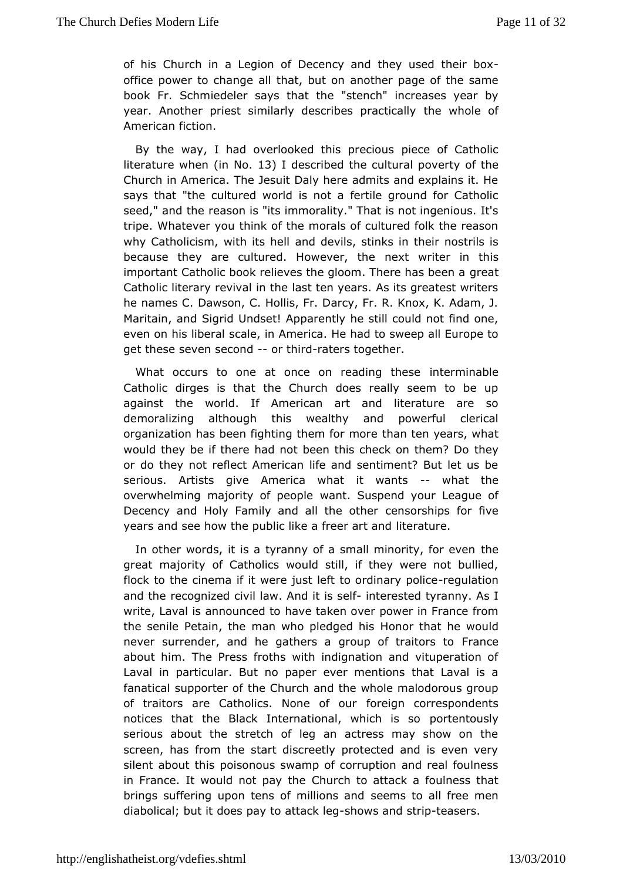of hi $\mathcal E$  hurch in a Legion of Decency and they-used their boy office power to cabing heat, but on another page of the same book Fr. Schmiedeler says "shanchh" eincreases year by year. Another priest similarly describles whole cally American fiction.

By the way, I had overlooked this epee of to Usatholic literature when  $N.013$  I described the cultural of potherty Church in America. The Jesuit Daly here admits and explains saysthat "the cultured world is not a fertile ground for Cath seed," and rthe as on is "its immorality." That is not ingenious. It tripe. Whateverthyink of the morals of cultured folk the reason why Catholicism, with airted ble Wils, stinks in their nostrils is because they are cultured. Howneewetr, with the r in this important Catholic book relieves the gloom. The earte has been a Catholic literary revival in the last ten years. As its greatest he names C. Dawson, C. Hollis, Fr. Darcy, Fr. R. Knox, K. Ad Maritain, Sondrid Undset! Apparently he still could not find on even on his li $\ddot{\bm s}$  and in America. He had to sweep all Europe to get these seven secontholidaters together.

What occurs to one at once on readulie gm it manuslees Catholic dirges is that the Church does really seem to be against the world. If American art and literature are demoralizing althologsh wealthy and powerful clerical organization has been fighting thtehmanfotem pears, what would they be if there had not been this cheak yon them? Do or do they not reflect American life and sentiment? But let seriousArtists give America what it- whats the overwhelming majority ofwactopl&uspend your League of Decency and Holy Family and alternseors thips for five years and see how the public like difeeetuaet and

In other words, it is a tyranny of a small mimerity, for ever great majority of Catholics would still, if they were not bu flock to the cinema if it were just left to ordinary inpolice and the recognciizved law. And it interested tyranny. As I write, Laval is annoum aceed thacken over power in France from the senile Petain, the man who belogied has is he would never surrender, and he gathers a group Fount to to about him. The Press froths with indignation and vituperation Laval ipparticular. But no paper ever mentions that Laval is fanatical supportthes **G**thurch and the whole malodorous group of traitors are Catholics. None reonto properties pondents notices that the Black International, pw htiochit oiussigo serious about the stretch of leg an actress may show on screem, as from the start discreetly protected and is even  $v_{\ell}$ silent about ptohissonous swamp of corruption and real foulness in France. It would not Ophauyrothheto attack a foulness that brings suffering upon tens of misieleimonastoanad I free men diabolical; but it does pay toshad was clast leng-pleasers.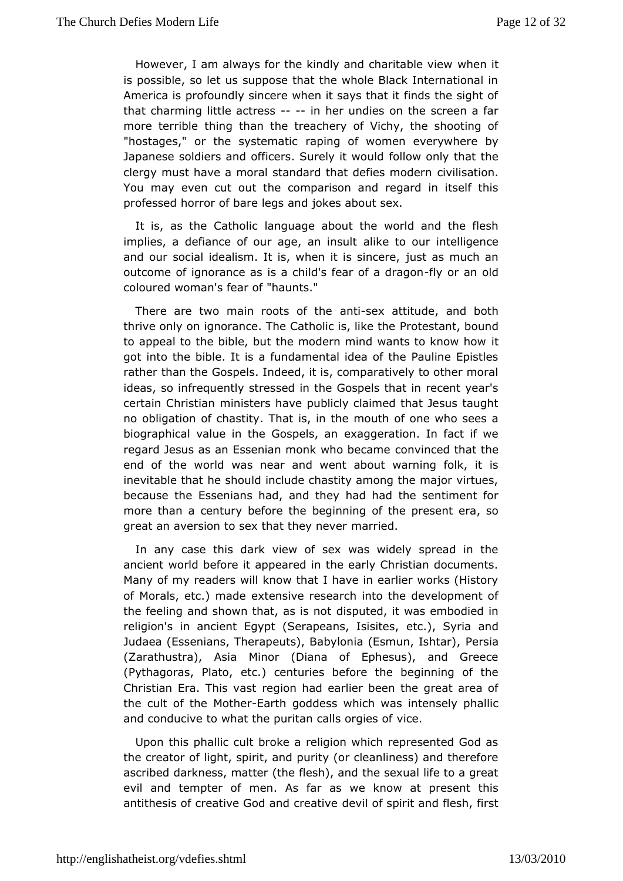[However, I am alway](http://englishatheist.org/vdefies.shtmlHowever)s for the kindly and whanitiable view is possible, so let us suppose that the whole Black International America is profoundly sincere when it says that it finds the s thatcharming little actress her undies on the screen a far more terribheng than the treachery of Vichy, the shooting o "hostages," or the systtaepminatricof women everywhere by Japanese soldiers and officers. Storblow it mould at the clergy must have a moral standard that cdieflessatmondern You may even cut out the comparison and regard in itself professed horror of bare legs and jokes about sex.

It is, as the Caltano diucage about the world and the flesh implies, a defiance of our agealiae to sout intelligence and our social idealism. It is, when iustiss im uehean outcome of ignorance as is a child's fetayr oof and dragon coloured woman's fear of "haunts."

There are two main rootsandisetheattitude, and both thrive only on ignorance. The Catho*Ri*c ties thinke the eund to appeal to the bible, but the modern mind wants to know ho got into the bible. It is a fundamental idea of the Pauline E rathethan the Gospels. Indeed, it is, comparatively to other m ideas, snofrequently stressed in the Gospels that in recent year certain Chrismiansters have publicly claimed that Jesus taugh no obligation of chastitys, in the mouth of one who sees a biographical value in the Gesagges, raatnion. In fact if we regard Jesus as an Essenian monk convinced minet the end of the world was near and went about warning folk, i inevitable that he should include chastity among the major vi because the senians had, and they had had the sentiment for more than a century befloergeinthieng of the present era, so great an aversion to sex that mibe wiende. ver

In any case this dark view of sex was widely spread in ancient world before it appeared in the early Christian docun Many of meyaders will know that I have in earlier works (Histo of Morals, etc.) enxade esive research into the development of the feeling and shown that, diasputed otit was embodied in religion's in ancient Egypt (Serapeathcs), I Siysrit as and Judaea (Essenians, Therapeuts), Babylonia  $R\overline{E}$ rssmiaun, Ishtar),  $(Zarathustra)$ , Asia Minor (Diana of Ephesus), and Gree (Pythagora<sup>s</sup> ato, etc.) centuries before the beginning of the Christian Era. Thirse gvias at had earlier been the great area of the cult of the NEosthtehr goddwshich was intensely phallic and conducive to what the puritan watles orgies of

Upon this phallic cult broke a religion which represented G thecreator of light, spirit, and purity (or cleanliness) and the ascribed arkness, matter (the flesh), and the sexual life to a  $g_{\perp}$ evil and temptemeonf. As far as we know at present this antithesis of creative God addv treatisypeirit and flesh, first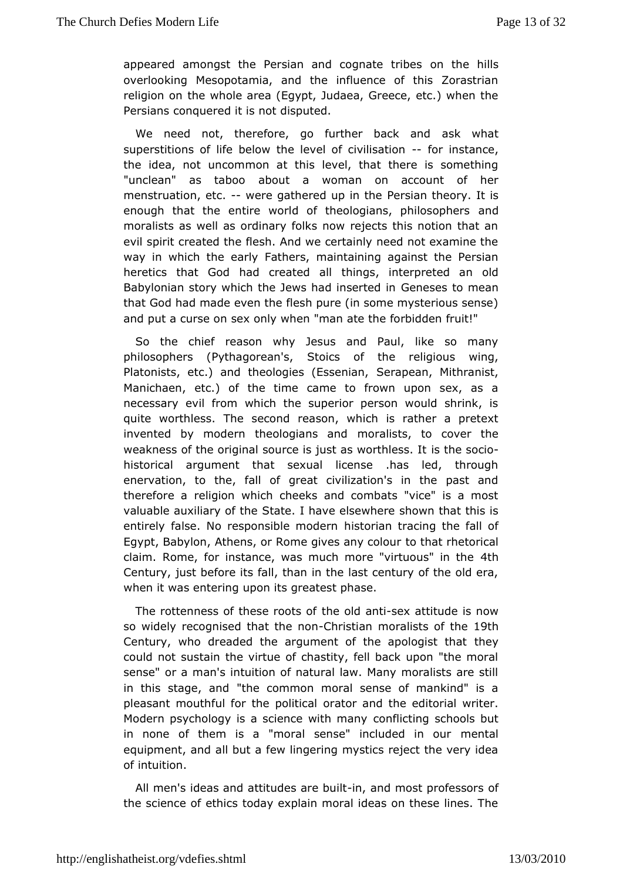[appeared amongst the](http://englishatheist.org/vdefies.shtmlappeared) Persian and coomathee thibless overlooking Mesopotamia, and the influence of this Zorast religion on the whole area (Egypt, Judaea, Greece, etc.) whe Persians nauered it is not disputed.

We need not, therefore, go further a black what d superstitions of life below the level-offor imisits antonen the idea, not uncommon at this level, that there is sometl "unclean" as ta $\phi$ bout a woman on account of her menstruation, -etwere gathered up Prentshiean theory. It is enough that the entire world of theologianandphilosophers moralists as well as ordinary folks now rejects this notion th evispirit created the flesh. And we certainly need not examine way in which etanely Fathers, maintaining against the Persian heretics that God had cretahtionon allinterpreted an old Babylonian story which the Jews had dennesseerste to immean that God had made even the flesh pure (in some mysterious sense) and put a curse on sex only when "man ate the forbidden fruit

So thechief reason why Jesus and Paul, like so many philosophers (Pythago $S$ et $\omega$ n's, of the religious wing, Platonists, etc.) and theologies Se Easps ee and ithranist, Manichaen, etc.) of the time came to frown upon sex, as necessary evil from which the superior person would shrin quite worthleTshse second reason, which is rather a pretext invented by modern theologimansalastics, to cover the weakness of the original source is just as the entheless. It historical argument that sexual license .has led, through enervation, to the, fall of great civilization's in the past thereforerealigion which cheeks and combats "vice" is a most valuable auxiliary Sot attenel have elsewhere shown that this is entirely false. No responsiblies tro oidaen ntracing the fall of Egypt, Babylon, Athens, or Rome givtes that rotal bournical claim. Rome, for instance, was much more "4thtuous" in the Century, just before its fall, than in the last century of the o whent was entering upon its greatest phase.

The rottenness of the setheodsdo and attitude is now so widely recognised that Chinies this moralists of 1the Century, who dreaded the argument of the the pologist that could not sustain the virtue of chastity, fell back upon "the sensedr a man's intuition of natural law. Many moralists are in this stage, "the common moral sense of mankind" is a pleasant mouthful for the opaotloitica and the editorial writer. Modern psychology is a science cownifhic minangy schools but in none of them is a "moral sense" incrhuechetellin our equipment, and all but a few lingering mystics reject the very ofintuition.

All men's ideas and attitudess, a a end bunibust professors the science of ethics today explain moral ideas on these line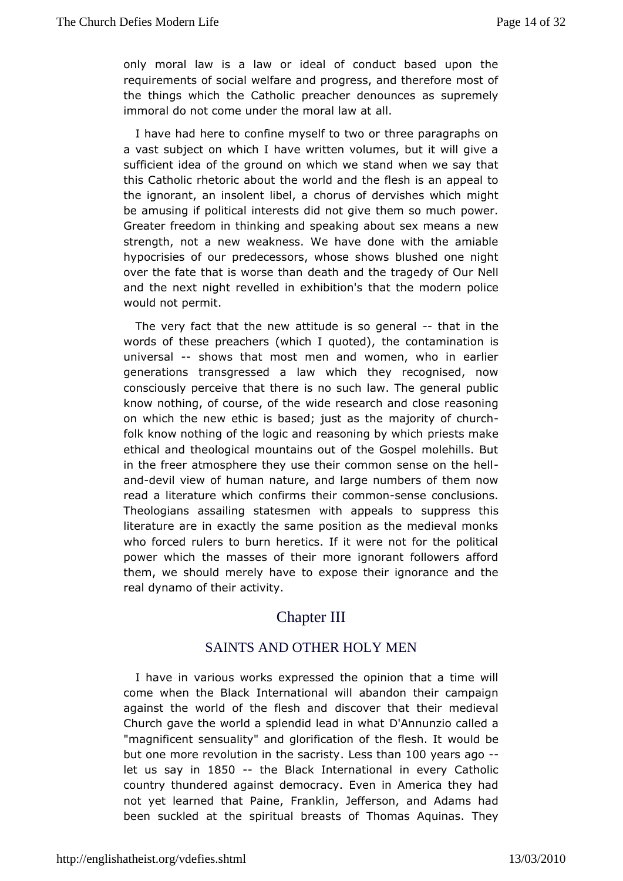[onlymoral law is](http://englishatheist.org/vdefies.shtmlonly) a law or ideal of conduct based upon  $t$ requirements of wetfiate and progress, and therefore most of the things which the Cathachier denounces as supremely immoral do not come under the madital law at

I have had here to confine myself to two or three paragraph a vast subject on which I have written volumes, but it will gi sufficient iodfeahe ground on which we stand when we say that this Catholic rhetoritch about the and the flesh is an appeal to the ignorant, an insolent hobes, of dervishes which might be amusing if political interests the denom soot moniuvoeh power. Greater freedom in thinking and speaking about sex means a strength, not a new weakness. We have done with the amia hypocrisies our predecessors, whose shows blushed one night over the fate that is wodeathhand the tragedy of Our Nell and the next night revelled in tehxantibionte m'osdern police would not permit.

The very fact that the time we is so general in the words of these preachers (which the quon tead mination is universal shows that most men and women, who in earlier generations transgressed a law which they recognised, r consciously pertcheait there is no such law. The general public know nothing, of course, ided the earch and close reasoning on which the new ethic is based; mjaujsotriats bhiechurch folk know nothing of the logic and reaspomiensg sbynawkheich ethical and theological mountains out of the Gospel molehill in the freer atmosphere they use their common-sense on the anddevil view human nature, and large numbers of them now read a literature which to the entirm of some sensus conclusions. Theologians assailing statesmen with upppessed sthips literature are in exactly the same position as the medieval n who forced rulers to burn heretics. If it were not for the po power whithe masses of their more ignorant followers affor them, we should mereltyo heavopeose their ignorance and the real dynamo of their activity.

## Chapter III

## SAINTS AND OTHER HOLY MEN

I have warious works expressed the opinion that a time wi come when the Bhateknational will abandon their campaign against the world of the fdess chow and that their medieval Church gave the world a splendid DeAndnum wibatalled a "magnificent sensuality" and glorificationwoulth beflesh. It but one more revolution in the  $es$  actrication  $\log$  years ago letus say in 850-- the Black International in every Catholic country thundergeadnst democracy. Even in America they had not yet learned that FPannkdin, Jefferson, and Adams had been suckled at the spiritual Tohroemanstss Aoquinas. They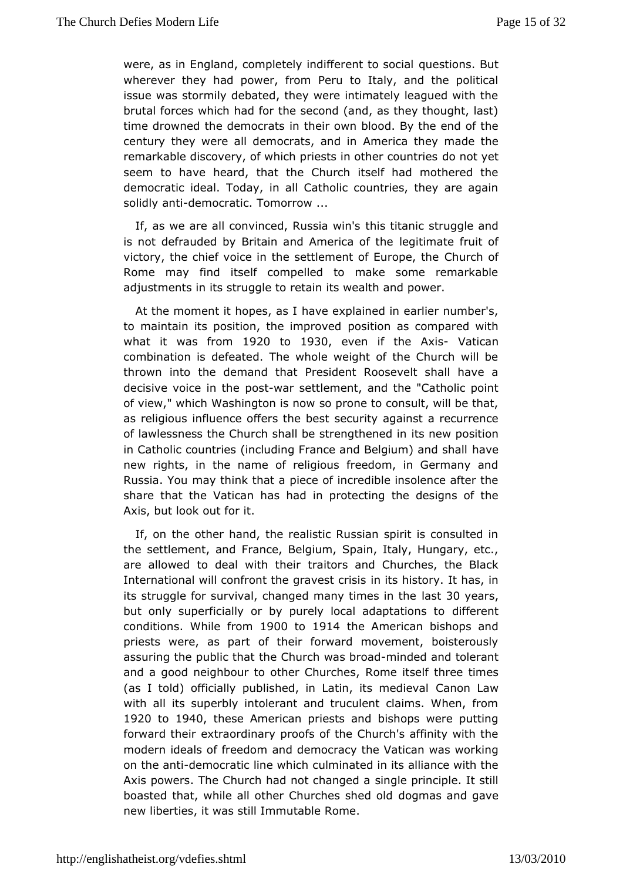[were, as in Englan](http://englishatheist.org/vdefies.shtmlwere)d, completely indifferent to associated where  $\alpha$ wherever they had power, from Peru to Italy, and the political issue was stormily debated, they were intimately leagued wit brutal for which had for the second (and, as they thought, last time drowned the democtration own blood. By the end of the century they were all democraAsm, enaince in made the remarkable discovery, of which priests indothet countries seem to have heard, that the Church itself had mothered democratic ideal. Today, in all Catholic countries, they are solid by ntidemocratic. Tomorrow ...

If, as we are all convinced, Russitat winnics struggle and is not defrauded by Britain and Amegicam afetheuit of victory, the chief voice in the settlement  $C$  burear ope, the Rome may find itself compelled to make some remarkab adjustmentstsnstruggle to retain its wealth and power.

At the moment it hopers,  $v$  as  $\varepsilon$  kplained in earlier number's, to maintain its position, the pomotioneds compared with what it was fricen 20 to 1930 even if the - A Viestican combination is defeated. The whole weight of the Church wi thrownnto the demand that President Roosevelt shall have decisive voice imosthwear settlement, and the "Catholic point of view," which Washington is now to consult, will be that, as religious influence offersedueithe against a recurrence of lawlessness the Church shall be sittree mgetuh epoceed tion in Catholic countries (including France and  $\mathbf B$  aloge ium) and shall new rights, in the name of religious freedom, in Germany Russia. You think that a piece of incredible insolence after the share that the Vahta sahad in protecting the designs of the Axis, but look out for it.

If, onthe other hand, the realistic Russian spirit is consulte the settlement, Faandce, Belgium, Spain, Italy, Hungary, etc., are allowed to deal withaithosis and Churches, the Black International will confront the gima viess thics rtios is . It has, in its struggle for survival, changed many ast Brotewer ans the but only superficially or by purely local dafd a peations to condition Wshile from 900 to 1914 the American bishops and priestwere, as part of their forward movement, boisterousl assuring the publibethCahturch was -minionadded and tolerant and a good neighbour to other R**C** muercitions of three times (as I told) officially published, in Lati@anios mbærodieval with all its superbly intolerant and truculent claims. When, 1920to 1940, these American priests and bishops were putting forward theexitraordinary proofs of the Church's affinity with th modern ideals of fræmeddochnemocracy the Vatican was working on the and beim ocratic line whilm thated in its alliance with the Axis powers. The Church had nosting a a goor dinaiple. It still boasted that, while all other Churcchoegsmashseed nodiogave new liberties, it was still Immutable Rome.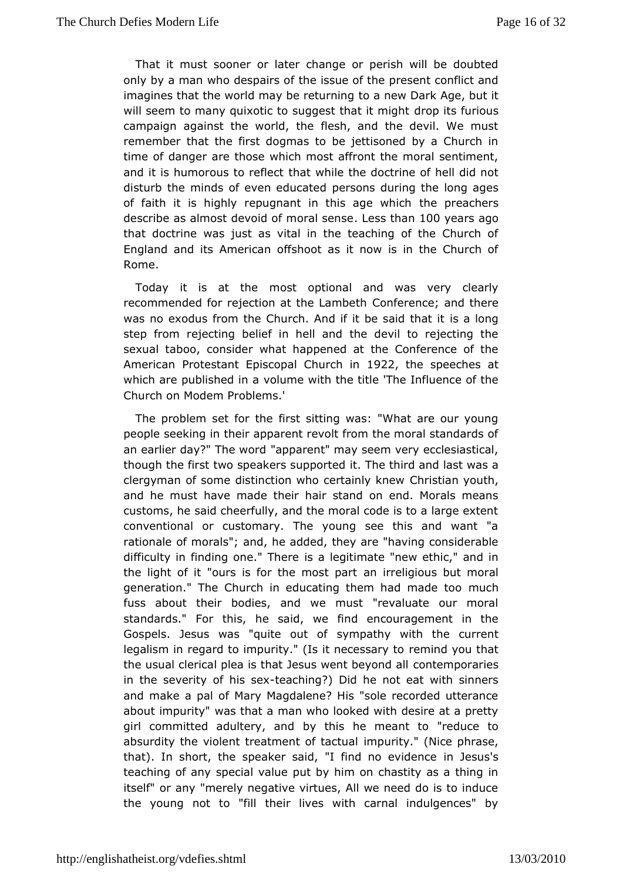That it mussotner or later change or perish will be doubted only by a man who dest the sudie of the present conflict and imagines that the world may beoratuenwin Dark Age, but it will seem to many quixotic to suggest that it its fuirgibus campaign against the world, the flesh, and the devil. We m remember that the first dogmas to be jettisoned by a Churc time of danguer those which most affront the moral sentiment, and it is humorous to three fliw that the doctrine of hell did not disturb the minds of even peedrus coantse duluring the long ages of faith it is highly repugnant in thibe apee and hie hs describe as almost devoid of mLoersasd sheahos @eyears ago that doctrine was just as vital in the teaching of the Chure England and American offshoot as it now is in the Church of Rome.

Today it is at mtbet optional and was very clearly recommended for rejection at the onlinearm bethe; and there was no exodus from the Church. And if itisbe slaing that it step from rejecting belief in hell and the devil to rejecting sexual taboo, consider what happened at the Conference of AmericaProtestant Episcopal Chelechion speeches at which are published diama with the title 'The Influence of the Church on Modem Problems.'

Theproblem set for the first sitting was: "What are our you people seekingein apparent revolt from the moral standards of an earlier day?" Th"eapwpoarrolent" may seem very ecclesiastical, though the first two speakersits upport the idd and last was a clergyman of some distinction who centraintly nk rew th, and he must have made their hair stand on end. Morals me customs, he said cheerfully, and the moral code is to a large conventional or customary. The young see this and want rationale of monalds,";he added, they are "having considerable difficulty in finding ones" at heagetimate "new ethic," and in the light of it "ours is for the am onstrelpig rolus but moral generation." The Church in educating themmhuach made too fuss about their bodies, and we must "revaluate our mo standards." Frois, he said, we find encouragement in the Gospels. Jesus was "quitesymoptathy with the current legalism in regard to impurity." (Is intermeinceds ysou uy thoat the usual clerical plea is that Jesus weemtte boopy cornadiestl in the severity of hiesacsheing?) Did he not eat with sinners and make a pal of Mary Magdalene? His "sole recorded utter about impurwigs that a man who looked with desire at a pretty girl committed adulterby almics he meant to "reduce to absurdity the violent treatmenimopfurato tal Nice phrase, that). In short, the speaker said, "I finich nue seusi's tence teaching of any special value put by him on chastity as a th itself" or any "merely negative virtues, All we need do is to the youngot to "fill their lives with carnal indulgences" by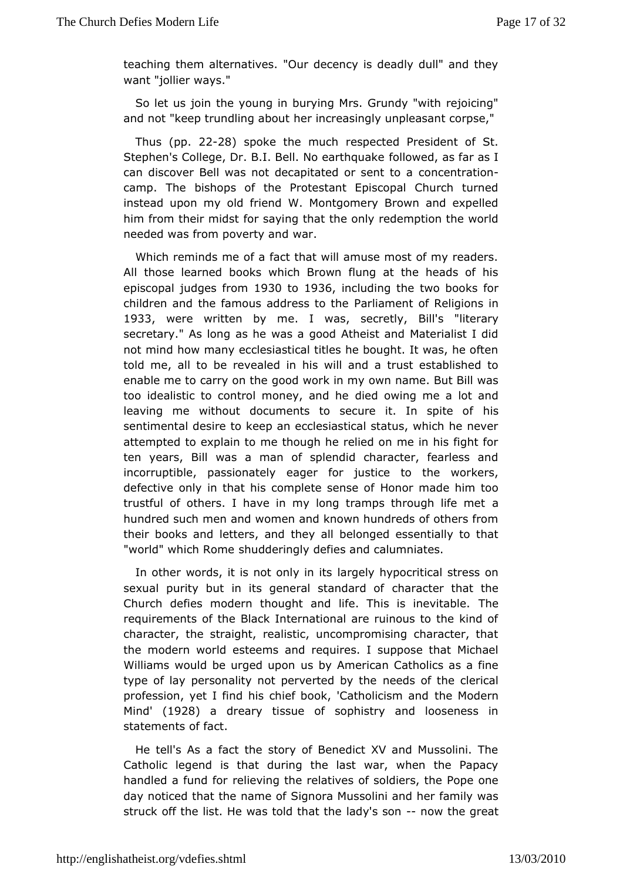teaching them altern"a understander is deadly dull" and they want "jollier ways."

So let us jt hien young in burying Mrs. Grundy "with rejoicing" and not "keep trundling eabout easingly unpleasant corpse,"

Thus(pp. 22-28) spoke the muebpected President of St. Stephen's College, Dr. B.I. Bell. Nolboaw blodquaask of ar as I can discover Bell was not decapitated on cesterintational camp. The bishops of the Protestant Episcopal Church tu instead upon my old friend W. Montgomery Brown and expe him from their modsstaying that the only redemption the world needed was from povewtay and

Which reminds me of a fact that will amuse most of my read Allthose learned books which Brown flung at the heads of episcopal judges19300mto1936including the two books for children and the famous addreaslitamethed of Religions in 1933 were written by Imewas secretly Bils "literary secretary." As long as he was a good Atheist and Materialist notmind how many ecclesiastical titles he bought. It was, he  $\epsilon$ told me, albeorevealed in his will and a trust established t enable me to carry gono dhwork in my own name. But Bill was too idealistic to control monelyedanow ine me a lot and leaving me without documents to secure ithisln spite of sentimental desire to keep an ecclesiastical status, which he attempted to explain to me though he relied on me in his fight ten yearBill was a man of splendid character, fearless an incorruptible, passioenagtedy for justice to the workers, defective only in that his complehteen sensue adopt him too trustful of others. I have in my long tramps through life m hundred such men and women and known hundreds of others f their books bentders, and they all belonged essentially to tha "world" which Rommederingly defies and calumniates.

In other words, it is not dargelly in spocritical stress on sexual purity but in its general shamalatred othat the Church defies modern thought and life. Thishes inevitable. requirements of the Black International are ruinous to the ki character, the straight, realistic, uncompromising character, the modewn rid esteems and requires. I suppose that Michael Williams would be urgeust ubgo American Catholics as a fine type of lay personality not perverted sbotthee clerical profession, yet I find his chief book, 'Chaeth Molloidiesmn and Mind' (1928) a dreary tissue of sophistry and looseness in  $state$  mends fact.

He tell's As a fact the story of Benedict XV and Mussolini Catholic legend is that during the last war, when the Papacy handled a funde fouring the relatives of soldiers, the Pope on day noticed that the nSagnmeopa Mussolini and her family was struck off the list. He was toladdythsats otheow the great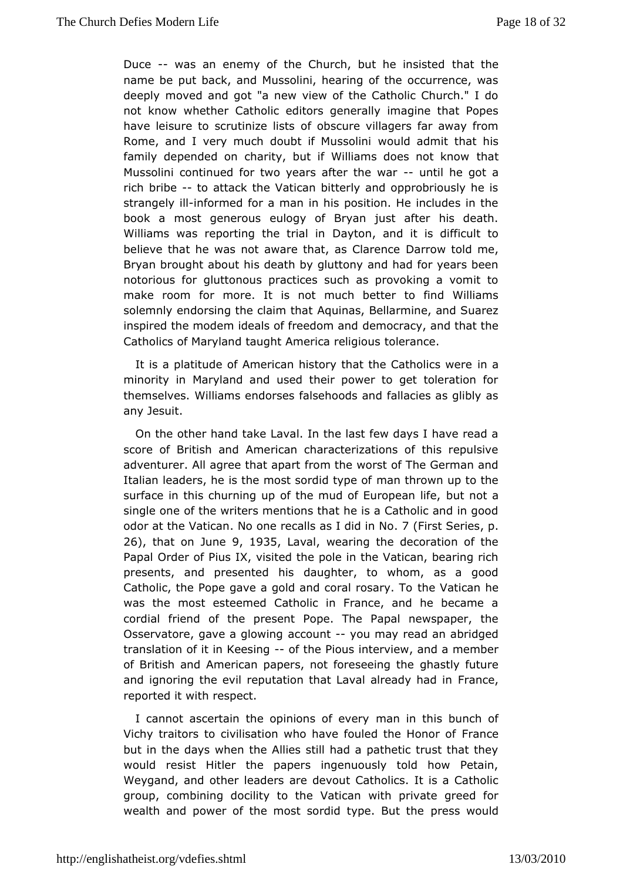Duce-- [was an enem](http://englishatheist.org/vdefies.shtmlDuce)y of the Church, but the atinthiested name be put back, and Mussolini, hearing of the occurrence. deeplynoved and got "a new view of the Catholic Church." I not know whet Chaetholic editors generally imagine that Popes have leisure to scrutinoitzeo bisostus revillagers far away from Rome, and I very much doubt if would sald milt that his family depended on charity, but if Williamstwores not know Mussolini continued for two years after tith he want a richbribe-to attack the Vatican bitterly and opprobriously he strangell Minformed for a man in his position. He includes in t book a most geneeroollosgy of Bryan just after his death. Williams was reporting the Datyteh, imand it is difficult to believe that he was not aware that, Dasro C watehot eme, Bryan brought about his death by gluttony and had for years notorious for gluttonous practices such as provoking a vom make room froore. It is not much better to find Williams solemnly endorsing the cAaqium ntahsa, t Bellarmine, and Suarez inspired the modem ideals of freedom and and that the Catholics of Maryland taught Amerodaramldgious

It is a platitude of American history that thim Gatholics were minority in Maryland and used their power to get toleratior themselve illiams endorses falsehoods and fallacies as glibly any Jesuit.

On thether hand take Laval. In the last few days I have read score of British Amedican characterizations of this repulsive adventurer. All agree thind map het worst of The German and Italian leaders, he is the most som rachid throw por to the surface in this churning up of the mud obu tum opean life, single one of the writers mentions that he is a Catholic and i odor at the VatNicoanne recalls as I did (Finn son Serices 26), that on Jughet 935 Lavalwearing the decoration of the Papal Order of P, iws sited the pole in the Vatican, bearing rich presents, and presentealughtiser, to whom, as a good Catholic, the Pope gave a gold and cornel Vrastian has was the most esteemed Catholic in France, and he becam cordial riend of the present Pope. The Papal newspaper, the Osservatore, gave a g cow umg you may read an abridged translation of it in K-eoefsting Pionutserview, and a member of British and American papers, not fophræstel ging tulne and ignoring the evil reputation that LavaFraalmeady had in reported it with respect.

I cannot ascertain the opinionmeantievehis bunch of Vichy traitors to civilisation who have fou Ferdantchee Honor of but in the days when the Allies still had a pathetic trust tha would resist Hitler the papers ingenuously told how Pet Weygand, and dehaedre rs are devout Catholics. It is a Catholic group, combining docility attocal mewith private greed for wealth and power of the most sordid to press Bouctuit de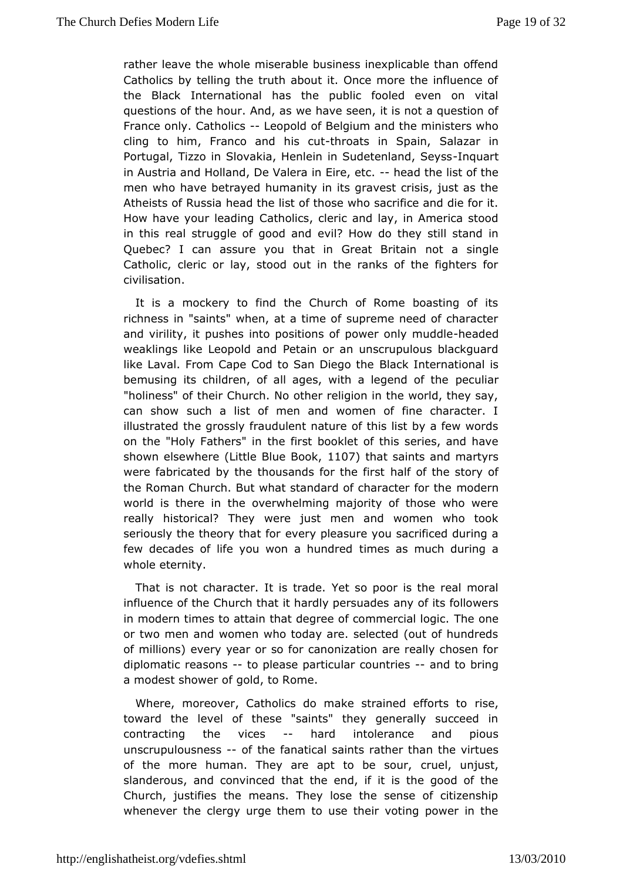[rather leave the who](http://englishatheist.org/vdefies.shtmlrather)le miserable business inexplicable than Catholics by telling the truth about it. Once more the influer the Blacknternational has the public fooled even on vital questions of the hour. Wend a was seen, it is not a question of France only. Cathole opold Boglqium and the ministers who cling to him, Franco and the instate utin SpSs and azar in Portugal, Tizzo in Slovakia, Henlein in Sudmedeatand, Seyss inAustria and Holland, De Valera-im eEaidethet tist of the men whbave betrayed humanity in its gravest crisis, just as Atheists of Rhead the list of those who sacrifice and die for i How have your le atholics, cleric and lay, in America stood in this real struggle of  $\oplus \circ \circ \circ \circ \circ$  almodw do they still stand in Quebec? I can assure you that in Ghroetata Barintogilme Catholic, cleric or lay, stood out in the ranks of the fighte civilisation.

It is a mockery to find the Church of Rome boasting of richness in "saints" when, at a time of supreme need of char and viriliitty pushes into positions of power-hoenalde enduddle weaklings like LeopoPledtaaimdor an unscrupulous blackguard like Laval. From Cape Cod to SaBhlaDcike dotehneational is bemusing its children, of all ages, with peloeugle and of the "holiness" of their Church. No other religion in the world, the can show such a list of men and women of fine character illustrated gthoessly fraudulent nature of this list by a few word on the "Holy Fathethse" fiimst booklet of this series, and have shown elsewhere (Little Bilule *PB*toak, saints and martyrs were fabricated by the thousands hisolif to the story of the Roman Church. But what standard of character for the world is there in the overwhelming majority of those who w reallyhistorical? They were just men and women who took seriously the theory  $\theta$  waty for easure you sacrificed during a few decades of life you won baimheusn darsed much during a whole eternity.

That is not character. It Yist tsadpoor is the real moral influence of the Church that it hardly poetrs tusa bloels owers in modern times to attain that degree of  $c\bar{\sigma}$  meneral logic. or two men and women who today are. selected (out of hundi ofmillions) every year or so for canonization are really chose diplomatic casons to please particular countries bring a modest showeoldf, to Rome.

Where, moreover, Catholics do make strainised efforts to toward the level of these "saints" they generally succeed contractingthe vices-- hard intolerance and pious unscrupulousness the fanatsia antis rather than the virtues of the more human. They are apt torubed, soomlingst, slanderous, and convinced that the end, if it is the good o Church, justifies the means. They lose the sense of citize whenever tohleergy urge them to use their voting power in the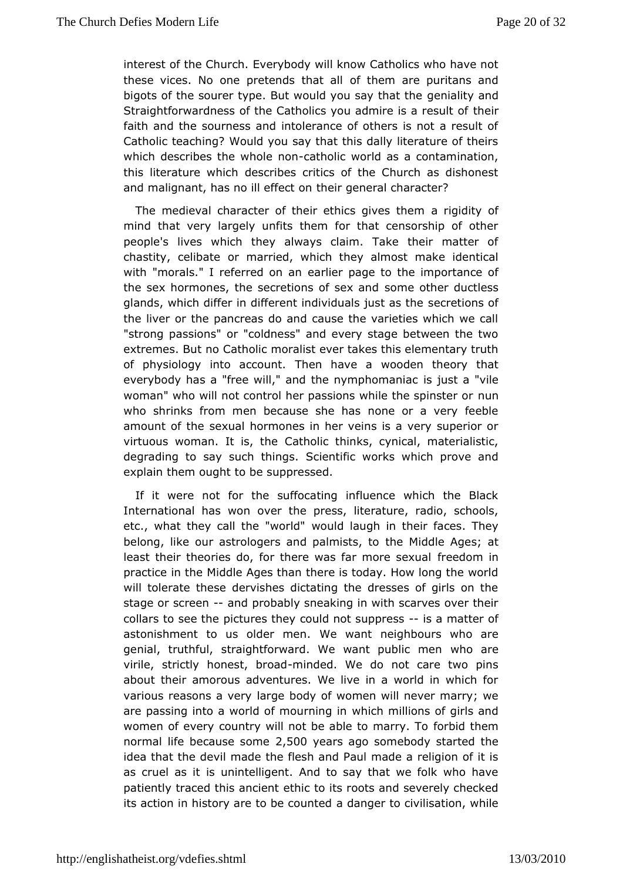interest of the C**Ewegwbody will know Catholics who have not** these vices. No one pretendosf tthat mabire puritans and big ots of the sourer type. But would yoguensiaay it haat nuche Straightforwardness of the Catholics you adminimedities a result of faith and the sourness and intolerance of others is not a rest Catholic teaching? Would you say that this dally literature of whichdescribes the whole athologic world as a contamination, this literature which descritics of the Church as dishonest and malignant, has no illthe effect enneral character?

The medieval character of their ethicas rojojvidenstythoefm mind that very largely unfits them for that censorship of o people's lives which they always claim. Take their matte chastity, celionatmarried, which they almost make identical with "morals." I referred a plie an page to the importance of the sex hormones, the secretions soom esex the meductless glands, which differ in different individsue aclise  $\mathfrak j$  uncerts as fthe the liver or the pancreas do and cause the varieties which w "strong passions" or "coldness" and every stage between the extremes. Buctant olic moralist ever takes this elementary trutl of physiology into addoeumthave a wooden theory that everybody has a "free will," and the nigs minuls to maa hvalue woman" who will not control her passions whime the spinster c who shrinks from men because she has none or a very fee amount of the sexual hormones in her veins is a very superior or virtuous woman. It iGathodic thinks, cynical, materialistic, degrading to say such Stchiien muts ic works which prove and explain them ought to be suppressed.

If it were not for the suffocating influence which the  $B\mathbb{R}^2$ International has own the press, literature, radio, schools, etc., what they call the wow bodld augh in their faces. They belong, like our astrologers and the alm Misdelet Ages; at least their theories do, for there was farreendoorme smexual practice in the Middle Ages than there is today. How long the will tolerate these dervishes dictating the dresses of girls stage screen-and probably sneaking in with scarves over their collars to sepitheres they could not supparementer of astonishment to us oldeWemwmant neighbours who are genial, truthful, straightforward. We wanwthopuabrloic men virile, strictly hones-minddedd We do not care two pins aboutheir amorous adventures. We live in a world in which various reasons a avery body of women will never marry; we are passing into a world of mwohuinchinng illnions of girls and women of every country will not be ableotoid a hreym To normal life because  $2,500$  follower and some body started the ideathat the devil made the flesh and Paul made a religion of as cruel assiunintelligent. And to say that we folk who have patiently traced this eath coetrot its roots and severely checked its action in history are to **bed angeteto** civilisation, while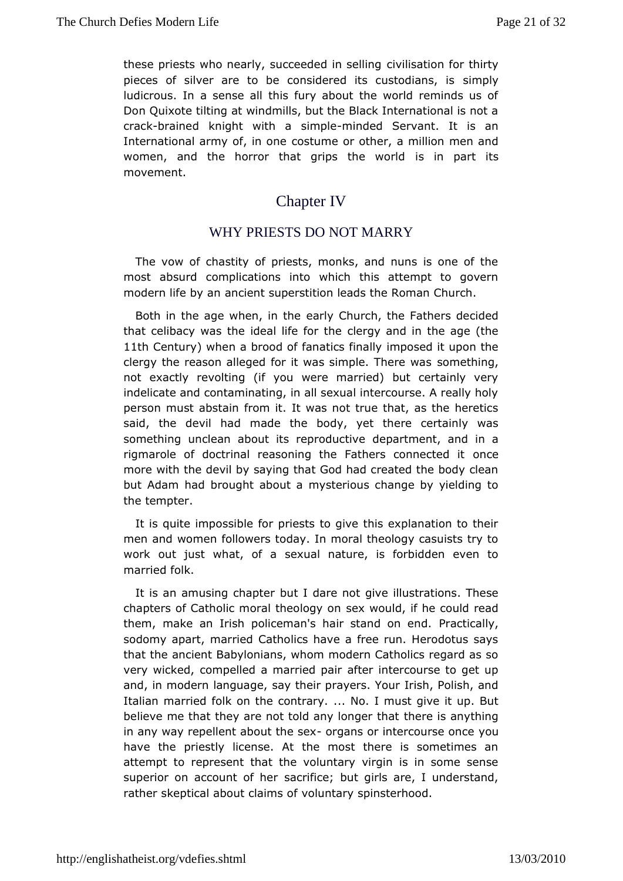[these priests who n](http://englishatheist.org/vdefies.shtmlthese)early, succeed develling asteal in form thirty pieces of silver are to be considered its simund to dians, is ludicrous. In a sense all this fury about the world reminds DonQuixote tilting at windmills, but the Black International is  $crac-braine$  thight with a s-immipoldeed Servant. It is an International army of, constome or other, a million men and women, and the horror that grips ishein wpalrd its movement.

# Chapter IV

## WHY PRIESTS DONOT MARRY

The vow of chastity of priests, monks, and nuns is one of most absurd complications into which this attempt to gov modern life baynatinent superstition leads the Roman Church.

Both in the age wheneanly hothurch, the Fathers decided that celibacy was the ideal bilfeer of pranche in the age (the 1 th Centurwhen a brood of fanatics proposed it upon the clergy the reason alleged for it was simpolme ething ee was not exactly revolting (if you were married) but certainly v indelicate and contaminating, in all sexual intercourse. A real persomust abstain from it. It was not true that, as the heret said, the devil mhaadde the body, yet there certainly was something unclean about its redperponalrutomationed, and in a rigmarole of doctrinal reasoning the Fatheonceonnected it more with the devil by saying that God had created the body but Adamad brought about a mysterious change by yielding t the tempter.

It isquite impossible for priests to give this explanation to men and womfohlowers today. In moral theology casuists try to work out just what, sexual nature, is forbidden even to married folk.

It is an amusing cbaptlerdare not give illustrations. These chapters of Catholic moral theology and if he could read them, make an Irish policeman's hair sPtamctioallognd. sodomy apart, married Catholics have a free run. Herodotus that the ancient Babylonians, whom modern Catholics regard very wicked, mpelled a married pair after intercourse to get u and, in modern languagth, eir prayers. Your Irish, Polish, and Italian married folk on the contrarly must give it up. But believe me that they are not told antyheloengierathyathing in any way repellent about the sear intercours or once have the priestly license. At the most there is sometimes attempt to present that the voluntary virgin is in some sens superior on account soafc rhibince; but girls are, I understand, rather skeptical about **c**baims act spinsterhood.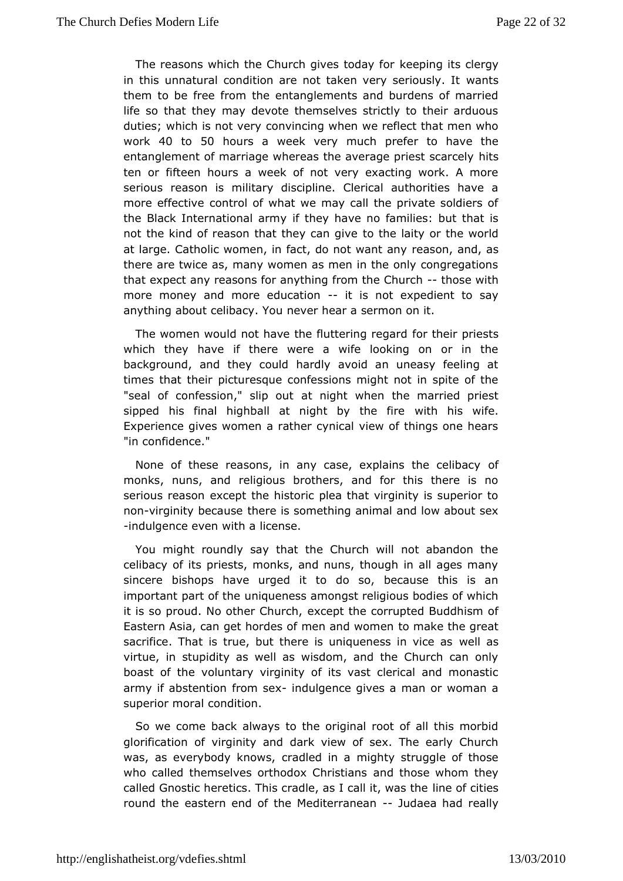[The reasons whic](http://englishatheist.org/vdefies.shtmlThe)h the Church gives to bood a vit for clergy in this unnatural condition are not taken vwewtsseriously. It them to be free from the entanglements and burdens of mar life so that they may devote themselves strictly to their arduous duties; which is noto we reprove when we reflect that men who work40 to 50 hours a week very poneter to have the entanglement of marriage whereas the averageits riest scarcel ten or fifteen hours a week of not very exacting work. A m seriouseason is military discipline. Clerical authorities have more effectave trol of what we may call the private soldiers c the Black International tarmany have no families: but that is not the kind of reason that the  $\phi$  clase igaints or the world at large. Catholic women, in fact, dorenanstown anathologies there are twice as, many women as men in the only congregations that expect any reasons for anything from holse Whithrch more moneaynd more educatiotn is not expedient to say anything about celibance weY chue ar a sermon on it.

The women would not have the fluttformintonerior gramidests which they have if there were a wife looking on or in background, and they could hardly avoid an uneasy feeling times that the dturesque confessions might not in spite of the "seal of confession," atimight when the married priest sipped his final highball at night wbith the sfiw efe. Experience gives women a rather cynical view of things one "in confidence."

None of these reasons, in any case, explaions the celibac monks, nuns, and religious brothers, and for this there is serious reassomept the historic plea that virginity is superior nonvirginity becalussee is something animal and low about sex -indulgence even wictehnae.

You might roundly say that the Church will not abandon celibacy of its priests, monks, and nuns, though in all ages sincerbishops have urged it to do so, because this is a important part oufniqueness amongst religious bodies of which it is so proud. No othere Ccheuptch the corrupted Buddhism of Eastern Asia, can get hordes of meto annalk worthengreat sacrifice. That is true, but there is uniquenels sasin vice as virtue, in stupidity as well as wisdom, and the Church can boast dhe voluntary virginity of its vast clerical and monas army if abstenticom sexndulgence gives a man or woman a superior moral condition.

Sowe come back always to the original root of all this more glorification in of inity and dark view of sex. The early Church was, as everybody kantawised in a mighty struggle of those who called themselves orthodoxanCchritins of issension they called Gnostic heretics. This cradle, as line abli iditive as the round the eastern end of the Medi**jerdranen as a had really**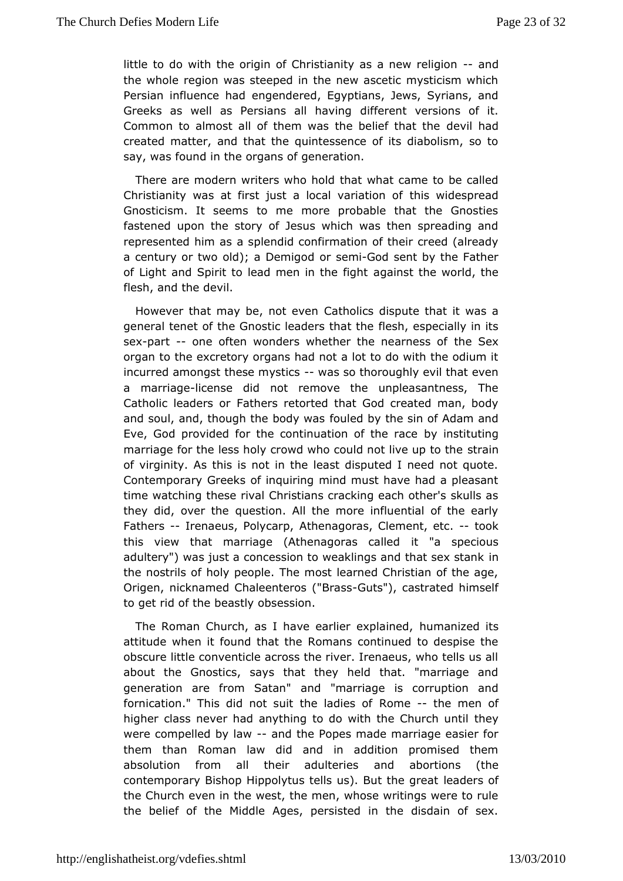[little to do with th](http://englishatheist.org/vdefies.shtmllittle)e origin of Christianity as a new religion the wholegion was steeped in the new ascetic mysticism whi Persian influencengaddered, Egyptians, Jews, Syrians, and Greeks as well as Persians dail flet ranting arsions of it. Common to almost all of them was the bobelive if had t the created matter, and that the quintessence of its diabolism, say was found in the organs of generation.

There are modern writers whhad whole came to be called Christianity was at first just a locathis a wide esprefad Gnosticism. It seems to me more probable that the Gnost fastened upon the story of Jesus which was then spreading represented him sapslendid confirmation of their creed (already a century or two old); a DremsegenGiood sent by the Father of Light and Spirit to lead men agathst fight world, the flesh, and the devil.

However that may be, notatehodincs dispute that it was a general tenet of the Gnostic lead beersshtheast ptehoeially in its sexpart-- one often wonders whether the ntehaerness of organ to the excretory organs had not a lot to do with the odi incurred amongst these-mwastiss thoroughly evil that even a marriaglecense did not remove the unpleasantness, The Catholic leade Fathers retorted that God created man, body and soul, and, though the flood  $\phi$  dwas the sin of Adam and Eve, God provided for the continuationy oinsthieutiance marriage for the less holy crowd who could sontainve up to the of virginity. As this is not in the least disputed I need not Contemporary Greeks of inquiring mind must have had a plea time watchingse rival Christians cracking each other's skulls they did, overquestion. All the more influential of the early Fathers Irenaeus, PolyAthpnagoras, Clement, toectk. this view that marriage (Athenagointas" a casiple of ious adultery") was just a concession to weaklings amd that sex st the nostrils of holy people. The most learned Christian of th Origem, icknamed Chaleenteros G(u't Bar'as scastrated himself to get rid of belastly obsession.

The Roman Church, as I have earlienume aplaemde dits attitude when it found that the Romans continued to despise obscure little conventicle across the river. Irenaeus, who tell aboutthe Gnostics, says that they held that. "marriage ar generation are from Sadan" marriage is corruption and fornication." This did not suit treemeditense on en of higher class never had anything to do with they Church until were compelled by daw the Popes made marriage easier for them thanRoman law did and in addition promised them absolution from all their aduncteried sortions (the contemporary Bishop Hippolytus tells us)leaBolatrshefgreat the Church even in the west, the men, whose writings were to thebelief of the Middle Ages, persisted in the disdain of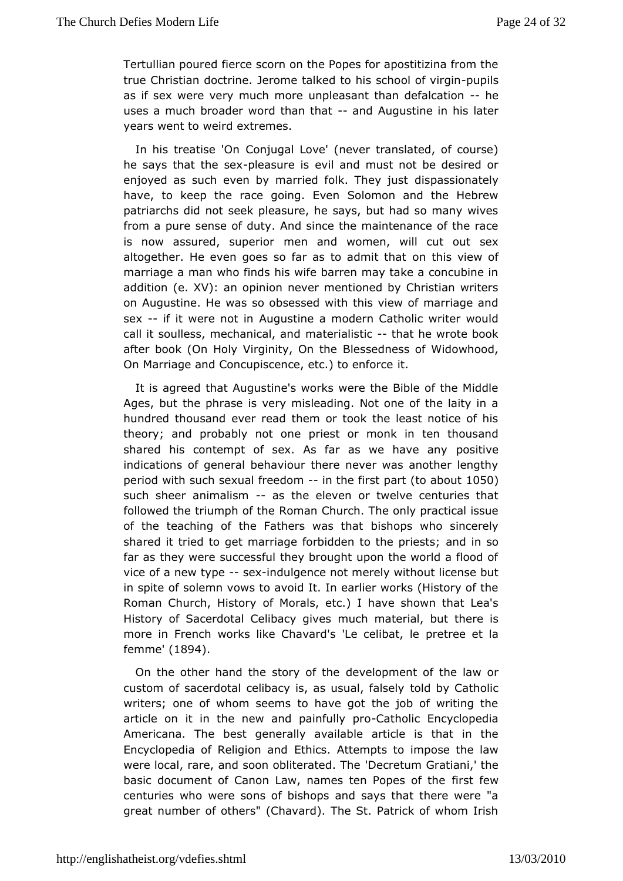Tertullian powerde scorn on the Popes for apostitizina from the true Christian doderrionee talked to his schoop uopfilsirgin as if sex were very muculmpheoasant than defal-chaetion uses a much broader word thannd Ahuantustine in his later years went to weird extremes.

In his treatise C o Q nugal Love' (never translated, of course) he says that the pleasure eiwil and must not be desired or enjoyed as such even by married foldkispTahsesvionuasttely have, to keep the race going. Even Solomon and the Heb patriarchs did not seek pleasure, he says, but had so many from a pusreense of duty. And since the maintenance of the rac is now assured, sumemionad women, will cut out sex altogether. He even goes so far as om aldinsitvitehwat of marriage a man who finds his wife barren may take a concubi addition (e.  $XV$ ): an opinion never mentioned by Christian  $w_1$ on Augustile. was so obsessed with this view of marriage an sex-- if it were noAtuignustine a modern Catholic writer would call it soulless, mechamicaterian hidstitch at he wrote book after book (On Holy VirginitByle Some dhess of Widowhood, On Marriage and Concupiscence, etid.) to enforce

It is agreed that Augustine's works were the Bible of the M Agesbut the phrase is very misleading. Not one of the laity hundred thouseavnedr read them or took the least notice of his theory; and probably not iess theor monk in ten thousand shared his contempt of sex. As far as powesitive any indications of general behaviour there never was another le periow ith such sexual freedotme first (parabout 050 such she enimalism as the eleven or twelve centuries that followed the triumph Roman Church. The only practical issue of the teaching of the Fathersbiw lasps hawtho sincerely shared it tried to get marriage forbiddenatod time sporiests; far as they were successful they brought upon the world a fic vice of a new-tyspexindulgence not merely without license but in spite sofiemn vows to avoid It. In earlier works (History of t Roman Church, HicsftoMprals, etc.) I have shown that Lea's History of Sacerdotal Celibraucoch ginvætserial, but there is more in French works like Chavard's puretreeedibeat, lale f e m m  $e(1894)$ .

On the other hand the stodyevoeflotpheaent of the law or custom of sacerdotal celibacy is, astoulsdubbly, Chaltsheolly ic writers; one of whom seems to have got the job of writing article on it in the new and p-&Ciantholohly cp Encyclopedia Americana. To best generally available article is that in the Encyclopedia of Relig Etolmics and Attempts to impose the law were local, rare, and soon oblit@eatredum horatiani,' the basic document of Canon Law, names ten in Psot pesswof the centuries who were sons of bishops and says that there were greatumber of others" (Chavard). The St. Patrick of whom Ir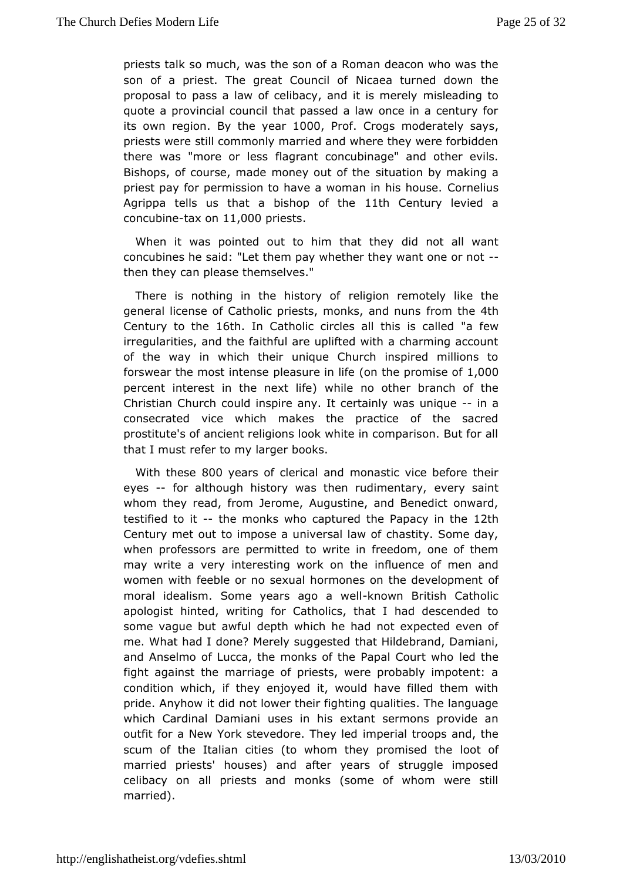priests talk so washt, he son of a Roman deacon who was the son of a priest. The great Clocaneal toufrned down the proposal to pass a law of celibacy, amdsite adimngentooly quote a provincial council that passed a law once in a centu its own regiboyn the yeta 000 Prof Crogs moderately says priests wetell commonly married and where they were forbidde there was "more offlagsant concubinage" and other evils. Bishops, of course, made money siduation of the making a priest pay for permission to have a womaChoim enliss shouse. Agrippa tells us that a bishdpthof Cemeury levied a concubi-thosex ontidentiests

When it was pointed out to him diblath otheay! want concubines he said: "Let them pay whether they-want one or n then they can please themselves."

There is nothing in the histogiyom fremotely like the general license of Catholic priests, mondare, tation nuns Century to though. In Catholic circles all this aisse walled irregularities, and the faithful are uplifted with a charming a of the wan which their unique Church inspired millions to forswear the most iponte ansue re in (dinfethe promiste,  $0.0010$ percent interest in the nwebxitlelifred) other branch of the Christian Church could inspire anwast weeirde-endy a consecrated vice which makes the practice of the saci prostitute's of ancient religions look white in comparison. But that must refer to my larger books.

With the 800 years of clerican o anad tic vice before their eyes-- for although history was then ruedviemeyntsaariyn,t whom they read, from Jerome, Augustine, and Benedict onward testified to- the monks who captured the Papdachy in the Century met tout mpose a universal law of chastity. Some day, when professors are petom wittled in freedom, one of them may write a very interesting woom klucenn ot the eof men and women with feeble or no sexual hormones on the developmen moral idealism. Some years algroowan weberliltish Catholic apologiatnted, writing for Catholics, that I had descended some vague but awputh which he had not expected even of me. What had I done? Merely tshuag glebis to be coberand, Damiani, and Anselmo of Lucca, the monks of the Plæpdath Court who fight against the marriage of priests, were probably impoter condition which, if they enjoyed it, would have filled them pride. Anyhow id not lower their fighting qualities. The langua which Cardinal Daumsieasniin his extant sermons provide an outfit for a New York stevedoriem pTehreayl herolops and, the scum of the Italian cities (to whom they loot omised the married priests' houses) and after years of struggle impo celibacy ahl priests and monks (some of whom were still married).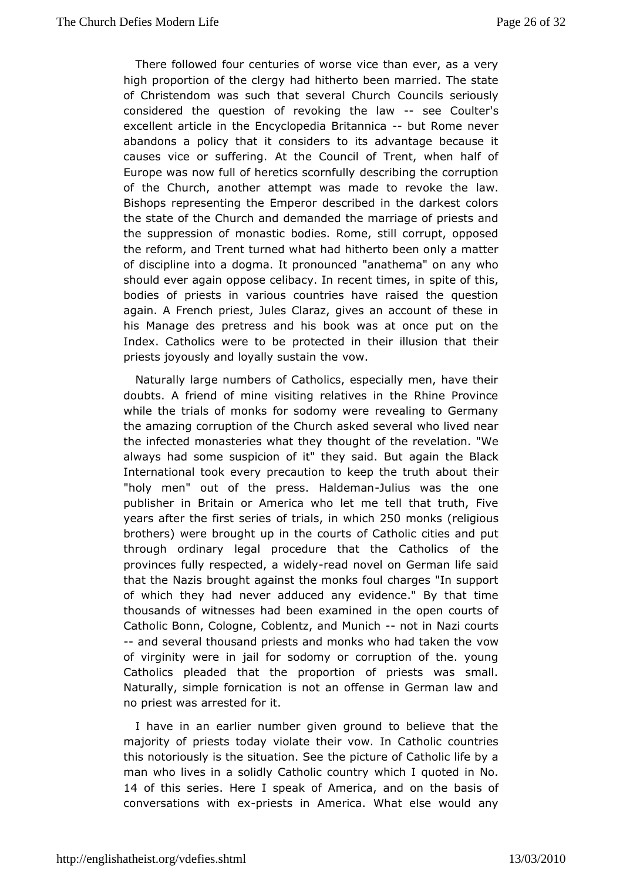There follow boat centuries of worse vice than ever, as a very high proportion of the acdelrigtherto been married. The state of Christendom was such that sev@pauln Chaurschriously considered the question of revokin-asebe Cloauwiter's excellent article in the EncyclopediabuBrRtammeionaever abandons palicy that it considers to its advantage because causes vice or sufAerithe. Council of Trent, when half of Europe was now full of heretic scoint intually he corruption of the Church, another attempt was made tawrevoke the Bishops representing the Emperor described in the darkest of the stabe the Church and demanded the marriage of priests a the suppressiom on astic bodies. Rome, still corrupt, opposed the reform, and Trent turhed with atto been only a matter of discipline into a dogma. It paronabhuenmosed on any who should ever again oppose celibacy. In repose to financies, in bodies of priests in various countries have raised the que again. A French priest, Jules Claraz, gives an account of th his Manages pretress and his book was at once put on the Index. Catholics wereprtooteloced in their illusion that their priests joyously and loyally soustain the

Naturally large numbers of Catholics, especially men, have doubts. A friend of mine visiting relatives in the Rhine Pro while theials of monks for sodomy were revealing to German the amazing corrupthen Confurch asked several who lived near the infected monasteries what the the revelation. "We always had some suspicion of it" the enyaishaithe Belltack International took every precaution to keep the eirtruth about "holy men" out of the press.-JHuailndsemwaas the one publisher Bimitain or America who let me tell that truth, Fiv years after the firs b fs eriine lissa which 250 monk for eligious brothers) were brought up in dhe C a bluotisc cities and put through ordinary legal procedure that to the the atholics provinces fully respected-read dwindced wild on German life said thatthe Nazis brought against the monks foul charges "In sup of which they mheavder adduced any evidence." By that time thousands of witnesses head a him beneemed in the open courts of Catholic Bonn, Cologne, Coblentz<sub>,</sub> and im um azh courts --and several thousand priests and monks whoowad taken the of virginity were in jail for sodomy or corruption of the. y Catholic caleaded that the proportion of priests was small Naturally, simple formicaton it offense in German law and no priest was arrested for it.

I haven an earlier number given ground to believe that the majority of priests violaty their vow. In Catholic countries this notoriously is the situtahte opnictSuere of Catholic life by a man who lives in a solidly Cathoohic chequiption in No. 14 of this seriHeesre I speak of A, maenroic on thosasis of conversations wiphniess in America. What else would any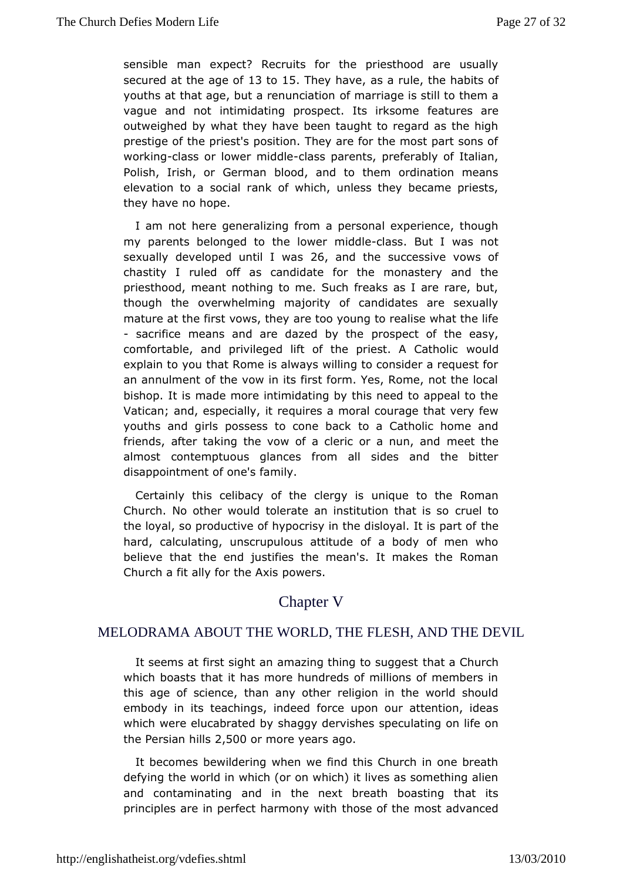sensiblmean expect? Recruits for the priesthood are usually secured at the alget oolf5. They have a rultehe habits of youths at that age, but a realum cantimage is still to them a vague and not intimidating prospect. felastureles came outweighed by what they have been taught to regard as the prestige of the priest's position. They are for the most part s workinglass or lower mcildass parents, preferably of Italian, Polishrish, or German blood, and to them ordination mean elevation to a social rwahikch, unless they became priests, they have no hope.

I am not hegreeneralizing from a personal experience, though my parents belonged to threidlobloe bass. But I was not sexually developed unti26, law distheuccessive vows of chastity I ruled off as candidate for the monastery and priesthood, meant nothing to me. Such freaks as I are rare, but, though theoverwhelming majority of candidates are sexually mature at the first vowse the by young to realise what the life - sacrifice means and are daz $\bullet$  dospecheof the easy, comfortable, and privileged lift of the privestald A Catholic explain to you that Rome is always willing to consider a reque anannulment of the vow in its first form. Yes, Rome, not the bishop. It mixede more intimidating by this need to appeal to the Vatican; and, especiael by utires a moral courage that very few youths and girls possess to toonæ Chatch Kolic home and friends, after taking the vow of a clericmeretathen, and almost contemptuous glances from all sides and the bit disappointment of one's family.

Certainly this celibacy of the uncidency viols the Roman Church. No other would tolerate an institution that is so the loyal, so productive of hypocrisy in the ditshleyal. It is par hard, calculating, unscrupulous attitude of a body of men believe that end justifies the mean's. It makes the Roman Church a fit ally for pthe eArxsis

## Chapter V

#### MELODRAMA ABOUT THE WORLD, THEFLESH, AND THE DEVIL

It seems at first sight an amazing thing ta Chaugebt which boasts that it has more hundreds of millions of membe this age of science, than any other religion in the world s embody in tieschings, indeed force upon our attention, ideas which were elucabrast beadging dervishes speculating on life on the Persian  $2h$ , is  $300$  cm more yeards.

It becomes bewildering when we find this Church in one br defyint he world in which (or on which) it lives as something a and contaminatimed in the next breath boasting that its principles are in perfect hat mossey whit the most advanced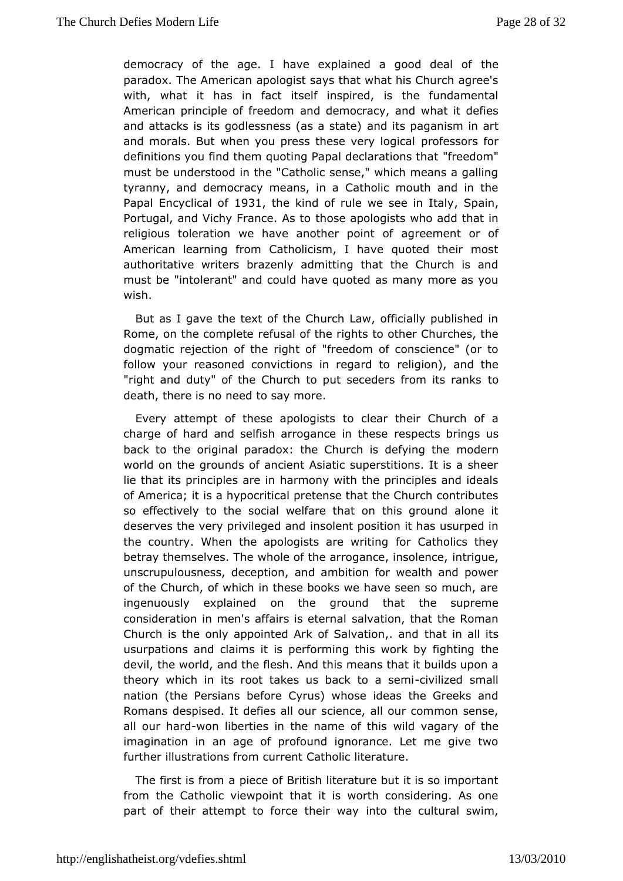[democracy of the age](http://englishatheist.org/vdefies.shtmldemocracy). I have explained athore deal of paradox. The American apologist says that what his Church  $a_!$ with, what has in fact itself inspired, is the fundamenta American principle of  $f$ amededdoermocracy, and what it defies and attacks is its godlessness a(mads bat beatone) anism in art and morals. But when you press thes proves sloorgsid ook definitions you find them quoting Papal d'écéedom d'ns that must be understood in the "Catholic sense," which means a q tyranny, and democracy means, in a Catholic mouth and in Papal Encyclic al 3 of the kind of rule we see Spainaly Portugal, and Vichy Frantohens  $A$  sapologists who add that in religious toleration we have anothegyre peominent of of American learning from Catholicism, I have quoted their m authoritative writers brazenly admitting that the Church is must bentolerant" and could have quoted as many more as  $y \in \mathbb{R}$ wish.

But as I gabe text of the Church Law, officially published i Rome, on the commelfeats all of the rights to other Churches, the dogmatic rejection of the friegendom for conscience" (or to follow your reasoned convictions inelirgeignand and the "right and duty" of the Church to put secederts from its ranl death, there is no need to say more.

Every attempt of these apologiesatrs their Church of a charge of hard and selfish arroganecepentshbsiengs us back to the original paradox: the Church mieddemying the world on the grounds of ancient Asiatic superstitions. It is a liethat its principles are in harmony with the principles and i of America; sith hypocritical pretense that the Church contribut so effectively to othel welfare that on this ground alone it deserves the very privilenge and deposition it has usurped in the country. When the apologists fare Coatholings they betray themselves. The whole of the arrogiant  $c$  is uigh, solence, unscrupulousness, deception, and ambition for wealth and p of the hurch, of which in these books we have seen so much, ingenuously explaoned the ground that the supreme consideration in men's affairsails ation nathat the Roman Church is the only appointed Ark of Stahlavta timo ma, I.I aimsd usurpations and claims it is performing this twerk by fightin devil, the world, and the flesh. And this means that it builds theorwhich in its root takes us backcitoilizesdemsimall nation (the Perbeatose Cyrus) whose ideas the Greeks and Romans despised. It defiesiahceurall our common sense, all our hawrodn liberties in the name  $\omega$  ibd valuesary of the imagination in an age of profound ignorance. Let me give further illustrations from current Catholic literature.

The first is  $a$ rom ece of British literature but it is so importar from the Catholic viet whint is worth considering. As one part of their attempt to force inheintheagultural swim,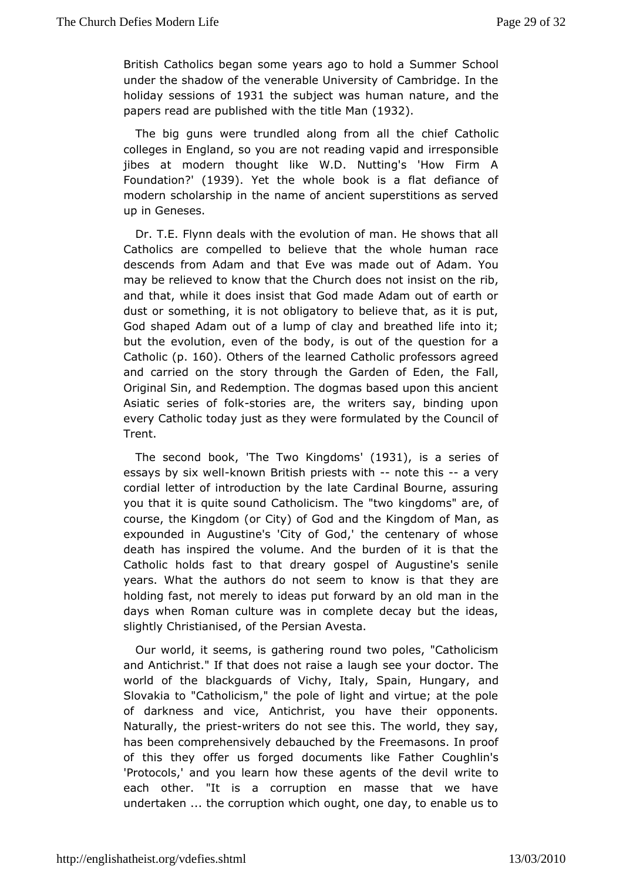[British Catholics be](http://englishatheist.org/vdefies.shtmlBritish)gan some vears ago to Shcohlodo a Summer under the shadow of the venerable University of Cambridge. I holidayessions 1963 1 the subject was human amadtuthee papers read are publiitshhehde title (M9a3n2).

The big guns were trundled along trion and the chief controller colleges in England, so you are not readries apposiblend jibes at modern thought like W.D. Nutting's 'How Firm Foundat Pom 1939. Yet the whole book is a flat defiance of modern scholarshipe name of ancient superstitions as served up in Geneses.

Dr. T.Elynn deals with the evolution of man. He shows that Catholics are compoelbeedieve that the whole human race descends from Adam and that EveowtasofmAaddam. You may be relieved to know that the Church doesrirbot insist on the and that, while it does insist that God made Adam out of ear dust osromething, it is not obligatory to believe that, as it is God shaped Adam of a lump of clay and breathed life into it; but the evolution, everboodfy this out of the question for a Catholing 160. Others of the learnthed Contessors agreed and carried on the story through the Gatrideen Faolfl, Eden, Original Sin, and Redemption. The dogmas based upon this ar Asiatic series esto folieks are, the writers say, binding upon every Cathodicay just as they were formulated by the Council of Trent.

The secobdok The Two Kingdoms 3), is a series of essays by six kwe win Brit pshests with ote this a very cordial letter of introduction Coayrd hreal a Bourne, assuring you that it is quite sound CatholiciksimgdTohnes" two ce, of course, the Kingdom (or City) of God and the assingdom of Ma expounded in Augustine's 'City of God,' the centenary of w death has spired the volume. And the burden of it is that th Catholic holds fatstattodreary gospel of Augustine's senile years. What the authors do not no we mis to hat they are holding fast, not merely to ideas put formwaan dimby haen old days when Roman culture was in complete decay but the id slight Cyhristianised, of the Persian Avesta.

Our world, it seems, is grathmedritwogo poles, "Catholicism and Antichrist." If that does not  $s$ æies eyoau taologolstor. The world of the blackguards of Vichy, Italy, Sapadin, Hungary, Slovakia to "Catholicism," the pole of light and virtue; at the of darkness and vice, Antichrist, you have their opponen Naturally, phice swriters do not see this. The world, they say, has been comprehendseibauched by the Freemasons. In proof of this they offer us forged dickceumFeanthser Coughlin's 'Protocols,' and you learn how these agewtsteeftothe devil each other. "It is a corruption en masse that we have undertaken the corruption which ought, one day, to enable us t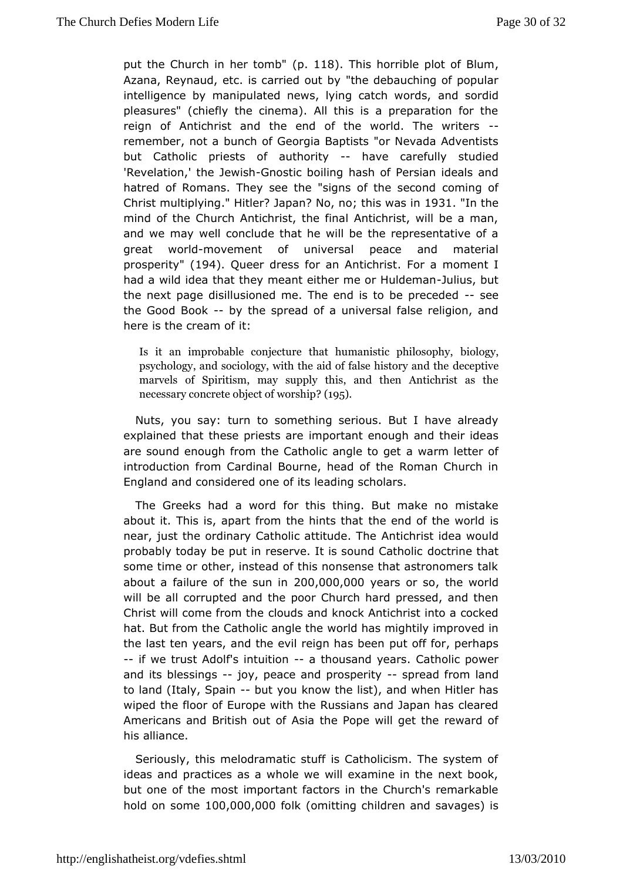[put the Church in](http://englishatheist.org/vdefies.shtmlput) her (pto 1ml b). This horrible plot of Blum Azana, Reynaud, etc. is carritende odueth by ching of popular intelligence by manipulated news, lying ancolats burdwiderds, pleasures" (chiefly the cinema). All this is a preparation  $f(x)$ reign of Antichrist and the end of the world. The writers remember, nobtuach of Georgia Baptists "or Nevada Adventists but Catholic priestsuthofrity-have carefully studied 'Revelation,' the -Glenwoisstling boilhianson of Persian ideals and hatred of Romans. They see the "signs coofming sécond Christ multip. I'l Hintder Japan No, no; this was 1903 1 In the mind of the Church Antichrist, the final Antichrist, will be a and we may ell conclude that he will be the representative of great wo-mhobvement of niversal peace and material prosperit # 94. Queer dress for an Anhetican hais moment I had a wild idea that they meant either muleu birus shubduet man the next page disillusioned me. The end is-tsebe preceded the Good Booky the spread of a universal false religion, and here is the creatm of

Is it an improbable conjecture that hubniaon oigning philosoph  $p$ sychology, and sociology, with the aid doef  $c$   $\phi$   $\phi$  history and marvels of Spiritism, may supply this, and then Antichr necessary concrete obje(d 9) of worship

Nuts, you say: ttourshomething serious. But I have already explained that these priest that enough and their ideas are sound enough from the Catholicaawarent betoder of introduction from Cardinal Bourne, head of the Roman Church in England and considered one of its leading scholars.

The Greeks had a fowrortchis thing. But make no mistake about it. This is, apart from the helientsd to hat he world is near, just the ordinary Catholic **Attitudesit The Antichrist in Antichrist** in Meta probably today be put in reserve. It is  $ds$  continuation  $\mathbb C$  at hat dic some time or other, instead of this nonsense that astronomer about a failure of the  $2$   $\omega$ ,  $0$   $0$   $0$ ,  $0$   $\omega$   $\omega$  ars or, the world will be ablrrupted and the poor Church hard pressed, and the Christ will come from utdhs and knock Antichrist into a cocked hat. But from the Catholic wangle beht has mightily improved in the last ten years, and the evil repign dife sidence put haps --if we trust Adolf's in-tauithconusand ye $\Omega$ arsholic power and its bless-i-njogy, peace and prospsepriteyad frolamnd to land (Italy, S-pbaunt you know the list), and when Hitler has wipedhe floor of Europe with the Russians and Japan has cle Americans  $\delta$ r dtish out of Asia the Pope will get the reward of hisalliance.

Seriously, this melodramatic stuff is Catholicism. The syste ideas and practices as a whole we will examine in the next but one of mhoest important factors in the Church's remarkable hold on som 00,000,000 Komitting children and savages) is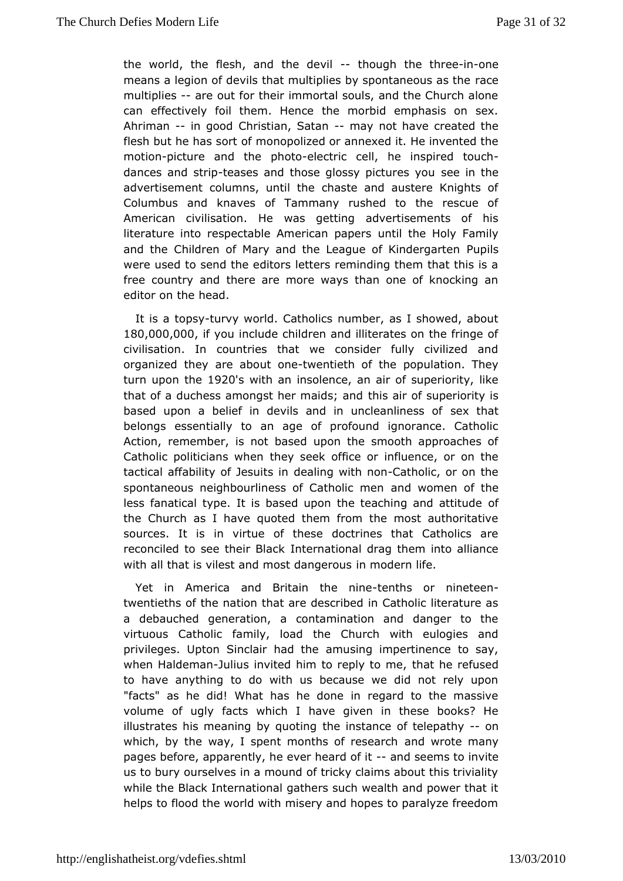[the world, the fl](http://englishatheist.org/vdefies.shtmlthe)esh, and the hole of the three one means a legion of devils that multiplies by spaneaneous as the multiplie-sare out for their immortal souls, and the Church alor caneffectively foil them. Hence the morbid emphasis on  $s_1$ . Ahriman- in goodhristian, Satamay not have created the flesh but he has moorntoopfolized or annexed it. He invented the motio-picture and the -pheodtoricell, he inspired- touch dances and sterapes and those glossy picsteuer eisn whou advertisement columns, until the chaste and austere Knight Columbus and knaves of Tammany rushed to the rescue American civilisatiowas He etting advertisements of his literature into respectable Amerucan place Hosly Family and the Children of Mary and the League *Dut* Kindergarten were used to send the editors letters reminding them that thi freecountry and there are more ways than one of knocking editor on the ead.

It is a to-psyvy world. Catholics number, as I showed, about 180,000,000 you include children and illiterates on the fringe civilisation. In countries that we consider fully civilized organized they about owentieth of the population. They turn upon the 2Gs with ansolence, an air of superiority, like that of a duchess amongst her thimational and disuperiority is based upon a belief in devils and in unsubeathlantess of belongs essentially to an age of profound ignorance. Cat Action, emember, is not based upon the smooth approaches of Catholic politiciansh whene ek office or influence, or on the tactical affability of Jobes alling in the Chartholic, or on the spontaneous neighbourliness of Caart dow comment of the less fanatical type. It is based upon the teachfing and attitude of the Church as I have quoted them from the most authoritat sources. Itinsvirtue of these doctrines that Catholics are reconciled to see thelimt&daakional drag them into alliance with all that is vilest and mostnd mogle rouls fe.

Yet in America and Britain-telmeths nime nineteen twentieths of the nation that are described in Catholic literat a debauched generation, a contamination and danger to t virtuous Cathicalmcily, load the Church with eulogies and privileges. Upton Sinclairam a dinto eimpertinence to say, when Haldeman insulfied him to repit atto he erefused to have anything to do with us because we did not rely u "facts" as he did! What has he done in regard to the mas volume of ugdets which I have given in these books? He illustrates his meaning  $b$   $\psi$ hequiontsingance of tele-poanthy which, by the way, I spent months  $\alpha$  and revise a get many pages before, apparently, he ever thred and sother intuite us to bury ourselves in a mound of tricky claims about this tri while the Black International gathers such wealth and power t helps fbood the world with misery and hopes to paralyze freed